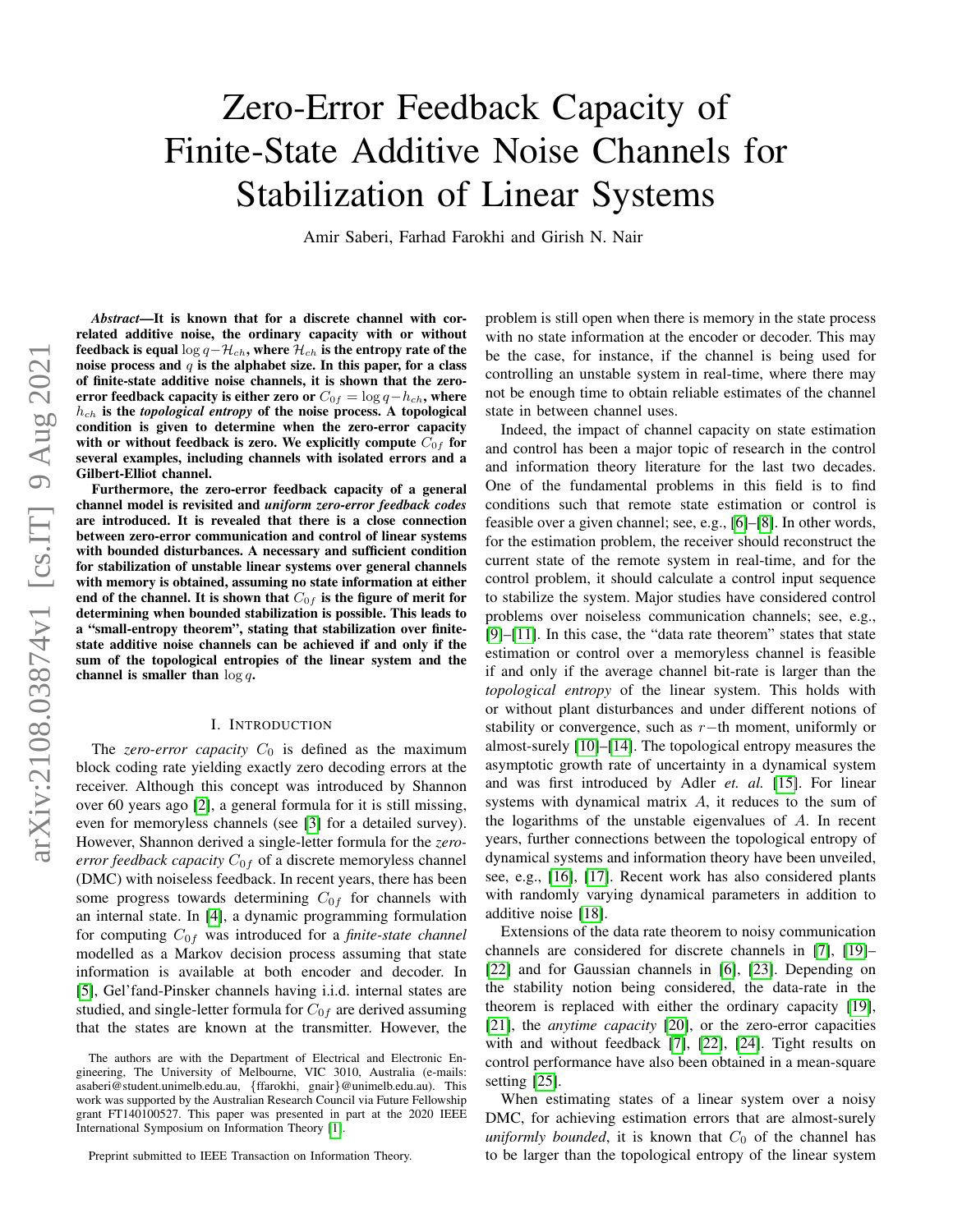# Zero-Error Feedback Capacity of Finite-State Additive Noise Channels for Stabilization of Linear Systems

Amir Saberi, Farhad Farokhi and Girish N. Nair

*Abstract*—It is known that for a discrete channel with correlated additive noise, the ordinary capacity with or without feedback is equal  $\log q-\mathcal{H}_{ch}$ , where  $\mathcal{H}_{ch}$  is the entropy rate of the noise process and  $q$  is the alphabet size. In this paper, for a class of finite-state additive noise channels, it is shown that the zeroerror feedback capacity is either zero or  $C_{0f} = \log q - h_{ch}$ , where  $h_{ch}$  is the *topological entropy* of the noise process. A topological condition is given to determine when the zero-error capacity with or without feedback is zero. We explicitly compute  $C_{0f}$  for several examples, including channels with isolated errors and a Gilbert-Elliot channel.

Furthermore, the zero-error feedback capacity of a general channel model is revisited and *uniform zero-error feedback codes* are introduced. It is revealed that there is a close connection between zero-error communication and control of linear systems with bounded disturbances. A necessary and sufficient condition for stabilization of unstable linear systems over general channels with memory is obtained, assuming no state information at either end of the channel. It is shown that  $C_{0f}$  is the figure of merit for determining when bounded stabilization is possible. This leads to a "small-entropy theorem", stating that stabilization over finitestate additive noise channels can be achieved if and only if the sum of the topological entropies of the linear system and the channel is smaller than  $\log q$ .

# I. INTRODUCTION

The *zero-error capacity*  $C_0$  is defined as the maximum block coding rate yielding exactly zero decoding errors at the receiver. Although this concept was introduced by Shannon over 60 years ago [\[2\]](#page-20-0), a general formula for it is still missing, even for memoryless channels (see [\[3\]](#page-20-1) for a detailed survey). However, Shannon derived a single-letter formula for the *zeroerror feedback capacity*  $C_{0f}$  of a discrete memoryless channel (DMC) with noiseless feedback. In recent years, there has been some progress towards determining  $C_{0f}$  for channels with an internal state. In [\[4\]](#page-20-2), a dynamic programming formulation for computing  $C_{0f}$  was introduced for a *finite-state channel* modelled as a Markov decision process assuming that state information is available at both encoder and decoder. In [\[5\]](#page-20-3), Gel'fand-Pinsker channels having i.i.d. internal states are studied, and single-letter formula for  $C_{0f}$  are derived assuming that the states are known at the transmitter. However, the problem is still open when there is memory in the state process with no state information at the encoder or decoder. This may be the case, for instance, if the channel is being used for controlling an unstable system in real-time, where there may not be enough time to obtain reliable estimates of the channel state in between channel uses.

Indeed, the impact of channel capacity on state estimation and control has been a major topic of research in the control and information theory literature for the last two decades. One of the fundamental problems in this field is to find conditions such that remote state estimation or control is feasible over a given channel; see, e.g., [\[6\]](#page-20-5)–[\[8\]](#page-20-6). In other words, for the estimation problem, the receiver should reconstruct the current state of the remote system in real-time, and for the control problem, it should calculate a control input sequence to stabilize the system. Major studies have considered control problems over noiseless communication channels; see, e.g., [\[9\]](#page-20-7)–[\[11\]](#page-20-8). In this case, the "data rate theorem" states that state estimation or control over a memoryless channel is feasible if and only if the average channel bit-rate is larger than the *topological entropy* of the linear system. This holds with or without plant disturbances and under different notions of stability or convergence, such as r−th moment, uniformly or almost-surely [\[10\]](#page-20-9)–[\[14\]](#page-20-10). The topological entropy measures the asymptotic growth rate of uncertainty in a dynamical system and was first introduced by Adler *et. al.* [\[15\]](#page-20-11). For linear systems with dynamical matrix  $A$ , it reduces to the sum of the logarithms of the unstable eigenvalues of A. In recent years, further connections between the topological entropy of dynamical systems and information theory have been unveiled, see, e.g., [\[16\]](#page-20-12), [\[17\]](#page-20-13). Recent work has also considered plants with randomly varying dynamical parameters in addition to additive noise [\[18\]](#page-20-14).

Extensions of the data rate theorem to noisy communication channels are considered for discrete channels in [\[7\]](#page-20-15), [\[19\]](#page-20-16)– [\[22\]](#page-20-17) and for Gaussian channels in [\[6\]](#page-20-5), [\[23\]](#page-20-18). Depending on the stability notion being considered, the data-rate in the theorem is replaced with either the ordinary capacity [\[19\]](#page-20-16), [\[21\]](#page-20-19), the *anytime capacity* [\[20\]](#page-20-20), or the zero-error capacities with and without feedback [\[7\]](#page-20-15), [\[22\]](#page-20-17), [\[24\]](#page-20-21). Tight results on control performance have also been obtained in a mean-square setting [\[25\]](#page-20-22).

When estimating states of a linear system over a noisy DMC, for achieving estimation errors that are almost-surely *uniformly bounded*, it is known that  $C_0$  of the channel has to be larger than the topological entropy of the linear system

The authors are with the Department of Electrical and Electronic Engineering, The University of Melbourne, VIC 3010, Australia (e-mails: asaberi@student.unimelb.edu.au, {ffarokhi, gnair}@unimelb.edu.au). This work was supported by the Australian Research Council via Future Fellowship grant FT140100527. This paper was presented in part at the 2020 IEEE International Symposium on Information Theory [\[1\]](#page-20-4).

Preprint submitted to IEEE Transaction on Information Theory.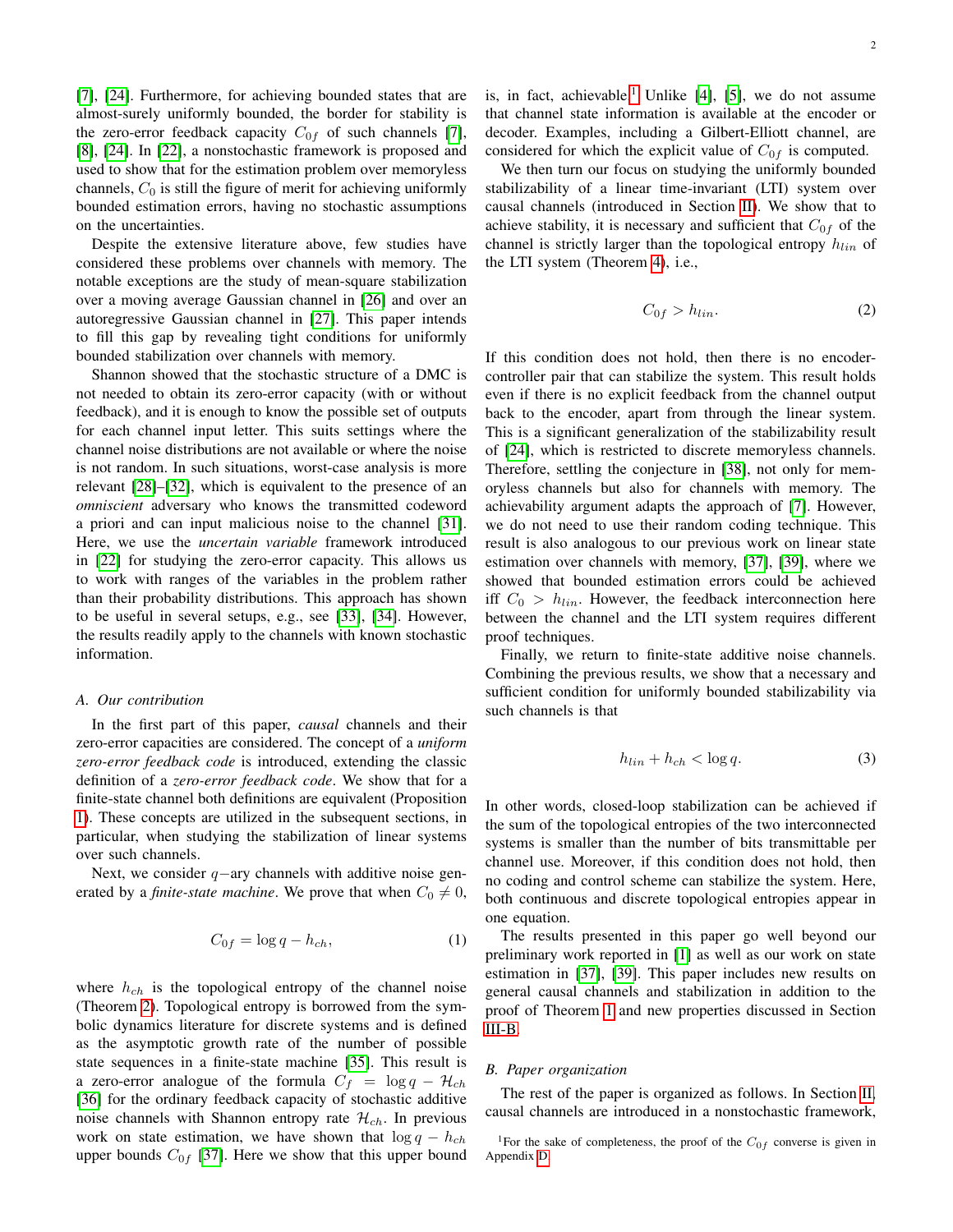[\[7\]](#page-20-15), [\[24\]](#page-20-21). Furthermore, for achieving bounded states that are almost-surely uniformly bounded, the border for stability is the zero-error feedback capacity  $C_{0f}$  of such channels [\[7\]](#page-20-15), [\[8\]](#page-20-6), [\[24\]](#page-20-21). In [\[22\]](#page-20-17), a nonstochastic framework is proposed and used to show that for the estimation problem over memoryless channels,  $C_0$  is still the figure of merit for achieving uniformly bounded estimation errors, having no stochastic assumptions on the uncertainties.

Despite the extensive literature above, few studies have considered these problems over channels with memory. The notable exceptions are the study of mean-square stabilization over a moving average Gaussian channel in [\[26\]](#page-20-23) and over an autoregressive Gaussian channel in [\[27\]](#page-20-24). This paper intends to fill this gap by revealing tight conditions for uniformly bounded stabilization over channels with memory.

Shannon showed that the stochastic structure of a DMC is not needed to obtain its zero-error capacity (with or without feedback), and it is enough to know the possible set of outputs for each channel input letter. This suits settings where the channel noise distributions are not available or where the noise is not random. In such situations, worst-case analysis is more relevant [\[28\]](#page-20-25)–[\[32\]](#page-20-26), which is equivalent to the presence of an *omniscient* adversary who knows the transmitted codeword a priori and can input malicious noise to the channel [\[31\]](#page-20-27). Here, we use the *uncertain variable* framework introduced in [\[22\]](#page-20-17) for studying the zero-error capacity. This allows us to work with ranges of the variables in the problem rather than their probability distributions. This approach has shown to be useful in several setups, e.g., see [\[33\]](#page-20-28), [\[34\]](#page-20-29). However, the results readily apply to the channels with known stochastic information.

### *A. Our contribution*

In the first part of this paper, *causal* channels and their zero-error capacities are considered. The concept of a *uniform zero-error feedback code* is introduced, extending the classic definition of a *zero-error feedback code*. We show that for a finite-state channel both definitions are equivalent (Proposition [1\)](#page-4-0). These concepts are utilized in the subsequent sections, in particular, when studying the stabilization of linear systems over such channels.

Next, we consider  $q$ -ary channels with additive noise generated by a *finite-state machine*. We prove that when  $C_0 \neq 0$ ,

$$
C_{0f} = \log q - h_{ch},\tag{1}
$$

where  $h_{ch}$  is the topological entropy of the channel noise (Theorem [2\)](#page-5-0). Topological entropy is borrowed from the symbolic dynamics literature for discrete systems and is defined as the asymptotic growth rate of the number of possible state sequences in a finite-state machine [\[35\]](#page-20-30). This result is a zero-error analogue of the formula  $C_f = \log q - \mathcal{H}_{ch}$ [\[36\]](#page-20-31) for the ordinary feedback capacity of stochastic additive noise channels with Shannon entropy rate  $\mathcal{H}_{ch}$ . In previous work on state estimation, we have shown that  $\log q - h_{ch}$ upper bounds  $C_{0f}$  [\[37\]](#page-20-32). Here we show that this upper bound is, in fact, achievable.<sup>[1](#page-1-0)</sup> Unlike  $[4]$ ,  $[5]$ , we do not assume that channel state information is available at the encoder or decoder. Examples, including a Gilbert-Elliott channel, are considered for which the explicit value of  $C_{0f}$  is computed.

We then turn our focus on studying the uniformly bounded stabilizability of a linear time-invariant (LTI) system over causal channels (introduced in Section [II\)](#page-2-0). We show that to achieve stability, it is necessary and sufficient that  $C_{0f}$  of the channel is strictly larger than the topological entropy  $h_{lin}$  of the LTI system (Theorem [4\)](#page-10-0), i.e.,

$$
C_{0f} > h_{lin}.\tag{2}
$$

If this condition does not hold, then there is no encodercontroller pair that can stabilize the system. This result holds even if there is no explicit feedback from the channel output back to the encoder, apart from through the linear system. This is a significant generalization of the stabilizability result of [\[24\]](#page-20-21), which is restricted to discrete memoryless channels. Therefore, settling the conjecture in [\[38\]](#page-20-33), not only for memoryless channels but also for channels with memory. The achievability argument adapts the approach of [\[7\]](#page-20-15). However, we do not need to use their random coding technique. This result is also analogous to our previous work on linear state estimation over channels with memory, [\[37\]](#page-20-32), [\[39\]](#page-20-34), where we showed that bounded estimation errors could be achieved iff  $C_0 > h_{lin}$ . However, the feedback interconnection here between the channel and the LTI system requires different proof techniques.

Finally, we return to finite-state additive noise channels. Combining the previous results, we show that a necessary and sufficient condition for uniformly bounded stabilizability via such channels is that

$$
h_{lin} + h_{ch} < \log q. \tag{3}
$$

In other words, closed-loop stabilization can be achieved if the sum of the topological entropies of the two interconnected systems is smaller than the number of bits transmittable per channel use. Moreover, if this condition does not hold, then no coding and control scheme can stabilize the system. Here, both continuous and discrete topological entropies appear in one equation.

The results presented in this paper go well beyond our preliminary work reported in [\[1\]](#page-20-4) as well as our work on state estimation in [\[37\]](#page-20-32), [\[39\]](#page-20-34). This paper includes new results on general causal channels and stabilization in addition to the proof of Theorem [1](#page-5-1) and new properties discussed in Section [III-B.](#page-6-0)

#### *B. Paper organization*

The rest of the paper is organized as follows. In Section [II,](#page-2-0) causal channels are introduced in a nonstochastic framework,

<span id="page-1-0"></span><sup>&</sup>lt;sup>1</sup>For the sake of completeness, the proof of the  $C_{0f}$  converse is given in Appendix [D.](#page-13-0)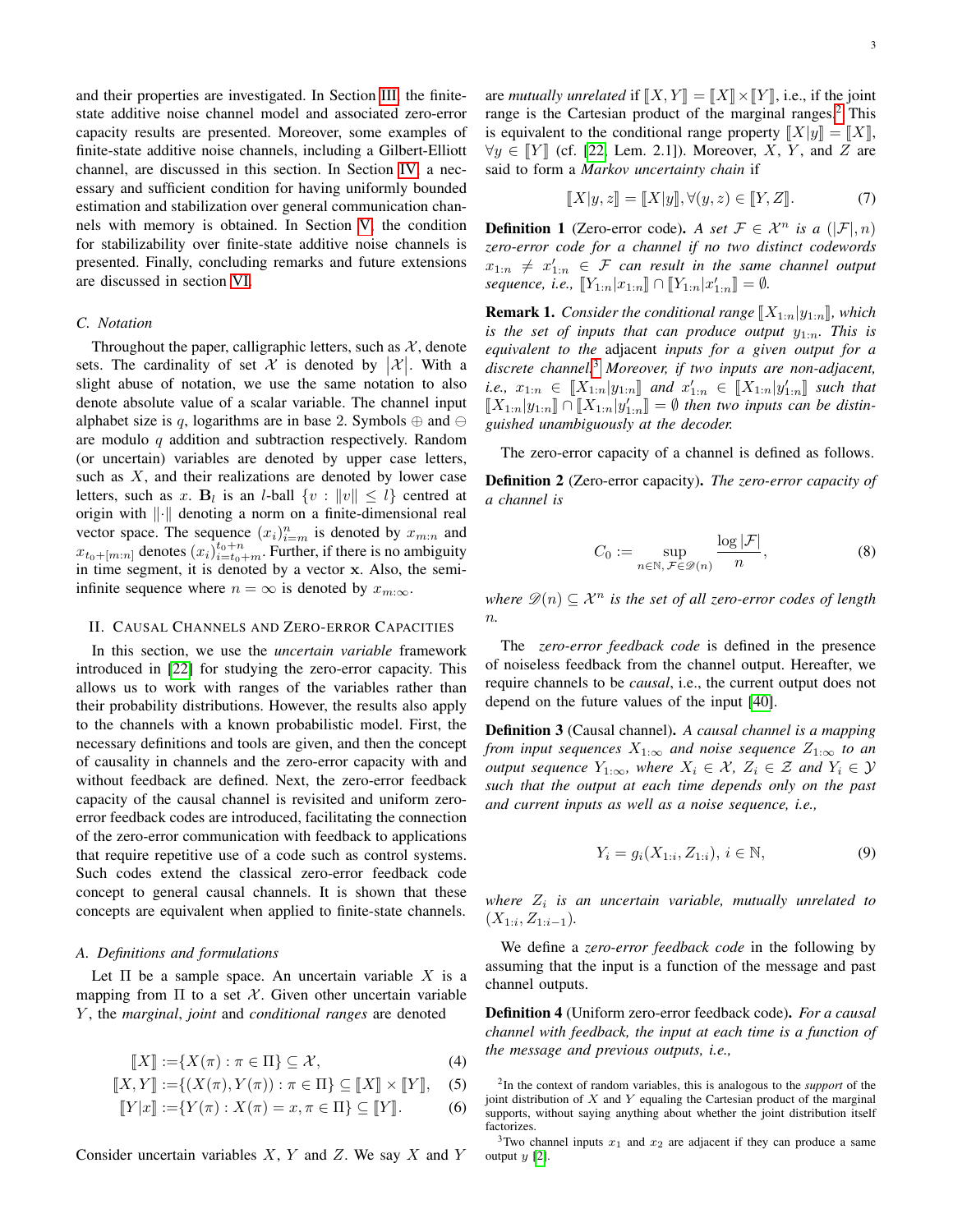and their properties are investigated. In Section [III,](#page-4-1) the finitestate additive noise channel model and associated zero-error capacity results are presented. Moreover, some examples of finite-state additive noise channels, including a Gilbert-Elliott channel, are discussed in this section. In Section [IV,](#page-9-0) a necessary and sufficient condition for having uniformly bounded estimation and stabilization over general communication channels with memory is obtained. In Section [V,](#page-11-0) the condition for stabilizability over finite-state additive noise channels is presented. Finally, concluding remarks and future extensions are discussed in section [VI.](#page-11-1)

# *C. Notation*

Throughout the paper, calligraphic letters, such as  $X$ , denote sets. The cardinality of set  $\mathcal X$  is denoted by  $|\mathcal X|$ . With a slight abuse of notation, we use the same notation to also denote absolute value of a scalar variable. The channel input alphabet size is q, logarithms are in base 2. Symbols  $\oplus$  and  $\ominus$ are modulo q addition and subtraction respectively. Random (or uncertain) variables are denoted by upper case letters, such as  $X$ , and their realizations are denoted by lower case letters, such as x.  $B_l$  is an *l*-ball  $\{v : ||v|| \leq l\}$  centred at origin with  $\left\| \cdot \right\|$  denoting a norm on a finite-dimensional real vector space. The sequence  $(x_i)_{i=m}^n$  is denoted by  $x_{m:n}$  and  $x_{t_0+[m:n]}$  denotes  $(x_i)_{i=t_0+m}^{t_0+n}$ . Further, if there is no ambiguity in time segment, it is denoted by a vector x. Also, the semiinfinite sequence where  $n = \infty$  is denoted by  $x_{m:\infty}$ .

#### <span id="page-2-0"></span>II. CAUSAL CHANNELS AND ZERO-ERROR CAPACITIES

In this section, we use the *uncertain variable* framework introduced in [\[22\]](#page-20-17) for studying the zero-error capacity. This allows us to work with ranges of the variables rather than their probability distributions. However, the results also apply to the channels with a known probabilistic model. First, the necessary definitions and tools are given, and then the concept of causality in channels and the zero-error capacity with and without feedback are defined. Next, the zero-error feedback capacity of the causal channel is revisited and uniform zeroerror feedback codes are introduced, facilitating the connection of the zero-error communication with feedback to applications that require repetitive use of a code such as control systems. Such codes extend the classical zero-error feedback code concept to general causal channels. It is shown that these concepts are equivalent when applied to finite-state channels.

# *A. Definitions and formulations*

Let  $\Pi$  be a sample space. An uncertain variable X is a mapping from  $\Pi$  to a set X. Given other uncertain variable Y , the *marginal*, *joint* and *conditional ranges* are denoted

$$
\llbracket X \rrbracket := \{ X(\pi) : \pi \in \Pi \} \subseteq \mathcal{X}, \tag{4}
$$

$$
\llbracket X, Y \rrbracket := \{ (X(\pi), Y(\pi)) : \pi \in \Pi \} \subseteq \llbracket X \rrbracket \times \llbracket Y \rrbracket, \quad (5)
$$

$$
[[Y|x]] := {Y(\pi) : X(\pi) = x, \pi \in \Pi} \subseteq [[Y]].
$$
 (6)

Consider uncertain variables  $X$ ,  $Y$  and  $Z$ . We say  $X$  and  $Y$ 

are *mutually unrelated* if  $\llbracket X, Y \rrbracket = \llbracket X \rrbracket \times \llbracket Y \rrbracket$ , i.e., if the joint range is the Cartesian product of the marginal ranges.<sup>[2](#page-2-1)</sup> This is equivalent to the conditional range property  $\llbracket X \rvert y \rrbracket = \llbracket X \rrbracket$ ,  $\forall y \in \llbracket Y \rrbracket$  (cf. [\[22,](#page-20-17) Lem. 2.1]). Moreover, X, Y, and Z are said to form a *Markov uncertainty chain* if

$$
[\![X|y,z]\!] = [\![X|y]\!], \forall (y,z) \in [\![Y,Z]\!]. \tag{7}
$$

**Definition 1** (Zero-error code). A set  $\mathcal{F} \in \mathcal{X}^n$  is a  $(|\mathcal{F}|, n)$ *zero-error code for a channel if no two distinct codewords*  $x_{1:n}$   $\neq$   $x'_{1:n}$   $\in$   $\mathcal F$  *can result in the same channel output*  $sequence, i.e., \ [Y_{1:n}|x_{1:n}] \cap [Y_{1:n}|x'_{1:n}] = \emptyset.$ 

**Remark 1.** *Consider the conditional range*  $[X_{1:n}|y_{1:n}]$ *, which is the set of inputs that can produce output*  $y_{1:n}$ . This is *equivalent to the* adjacent *inputs for a given output for a discrete channel.*[3](#page-2-2) *Moreover, if two inputs are non-adjacent, i.e.*,  $x_{1:n} \in [\![X_{1:n}|\!|y_{1:n}]\!]$  and  $x'_{1:n} \in [\![X_{1:n}|\!|y'_{1:n}]\!]$  such that  $[\![X_{1:n}|\!|y'_{1:n}]\!]$  and  $x'_{1:n} \in [\![X_{1:n}|\!|y'_{1:n}]\!]$  such that  $[[X_{1:n}|y_{1:n}]\cap [[X_{1:n}|y'_{1:n}]] = \emptyset$  then two inputs can be distin-<br>quicked unambiquously at the decoder *guished unambiguously at the decoder.*

The zero-error capacity of a channel is defined as follows.

Definition 2 (Zero-error capacity). *The zero-error capacity of a channel is*

$$
C_0 := \sup_{n \in \mathbb{N}, \, \mathcal{F} \in \mathcal{D}(n)} \frac{\log |\mathcal{F}|}{n},\tag{8}
$$

*where*  $\mathscr{D}(n) \subseteq \mathcal{X}^n$  *is the set of all zero-error codes of length* n*.*

The *zero-error feedback code* is defined in the presence of noiseless feedback from the channel output. Hereafter, we require channels to be *causal*, i.e., the current output does not depend on the future values of the input [\[40\]](#page-20-35).

<span id="page-2-3"></span>Definition 3 (Causal channel). *A causal channel is a mapping from input sequences*  $X_{1:\infty}$  *and noise sequence*  $Z_{1:\infty}$  *to an output sequence*  $Y_{1:\infty}$ *, where*  $X_i \in \mathcal{X}$ *,*  $Z_i \in \mathcal{Z}$  *and*  $Y_i \in \mathcal{Y}$ *such that the output at each time depends only on the past and current inputs as well as a noise sequence, i.e.,*

$$
Y_i = g_i(X_{1:i}, Z_{1:i}), \, i \in \mathbb{N},\tag{9}
$$

*where* Z<sup>i</sup> *is an uncertain variable, mutually unrelated to*  $(X_{1:i}, Z_{1:i-1}).$ 

We define a *zero-error feedback code* in the following by assuming that the input is a function of the message and past channel outputs.

Definition 4 (Uniform zero-error feedback code). *For a causal channel with feedback, the input at each time is a function of the message and previous outputs, i.e.,*

<span id="page-2-1"></span><sup>2</sup> In the context of random variables, this is analogous to the *support* of the joint distribution of  $X$  and  $Y$  equaling the Cartesian product of the marginal supports, without saying anything about whether the joint distribution itself factorizes.

<span id="page-2-2"></span><sup>&</sup>lt;sup>3</sup>Two channel inputs  $x_1$  and  $x_2$  are adjacent if they can produce a same output y [\[2\]](#page-20-0).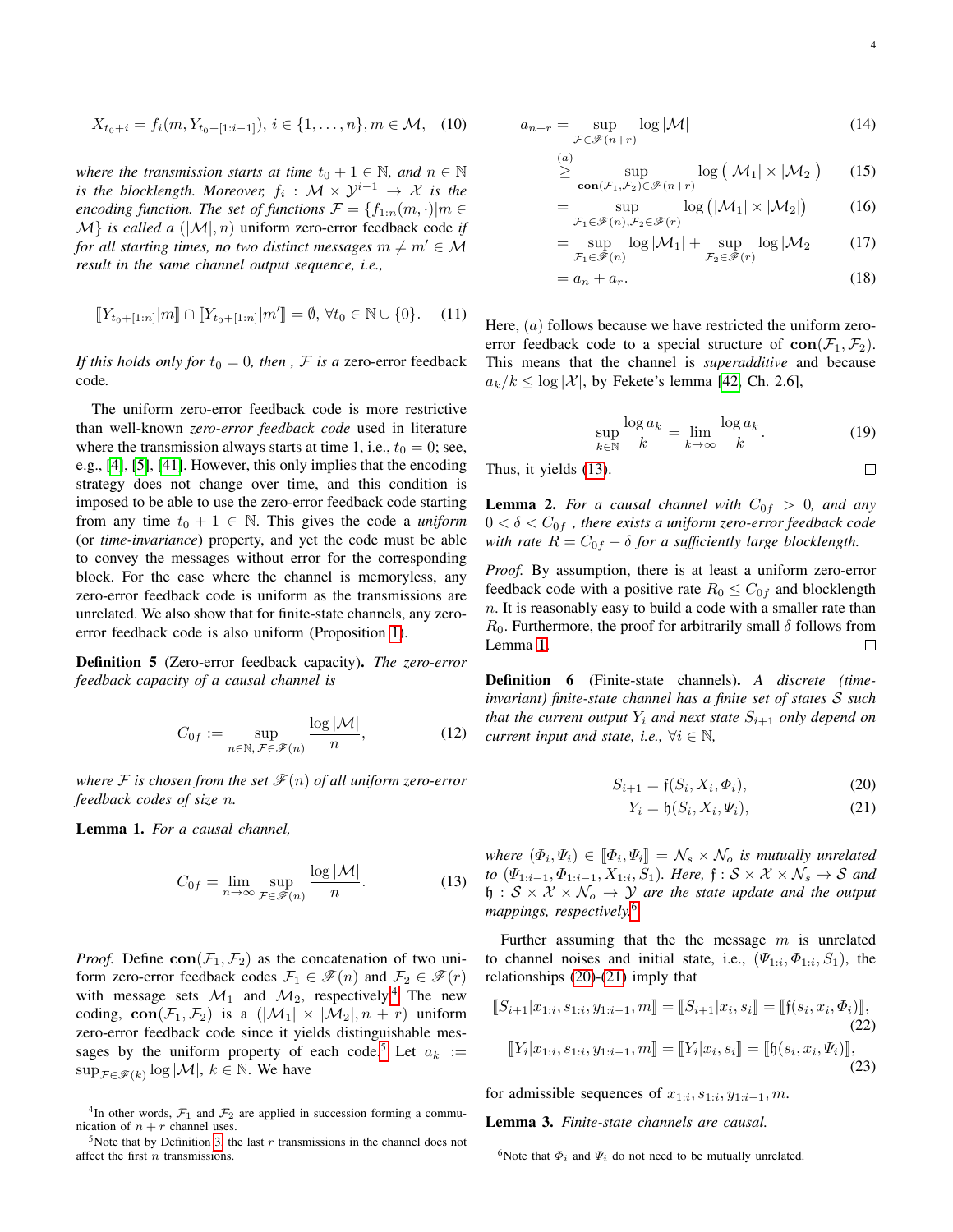$$
X_{t_0+i} = f_i(m, Y_{t_0+[1:i-1]}), i \in \{1, \ldots, n\}, m \in \mathcal{M}, \quad (10)
$$

*where the transmission starts at time*  $t_0 + 1 \in \mathbb{N}$ *, and*  $n \in \mathbb{N}$ *is the blocklength. Moreover,*  $f_i$  :  $\mathcal{M} \times \mathcal{Y}^{i-1} \to \mathcal{X}$  *is the encoding function. The set of functions*  $\mathcal{F} = \{f_{1:n}(m, \cdot) | m \in \mathcal{F}\}$  $\mathcal{M}$  *is called a*  $(|\mathcal{M}|, n)$  uniform zero-error feedback code *if for all starting times, no two distinct messages*  $m \neq m' \in \mathcal{M}$ *result in the same channel output sequence, i.e.,*

$$
[[Y_{t_0+[1:n]}|m]] \cap [[Y_{t_0+[1:n]}|m']] = \emptyset, \forall t_0 \in \mathbb{N} \cup \{0\}. \tag{11}
$$

*If this holds only for*  $t_0 = 0$ *, then*, *F is a* zero-error feedback code*.*

The uniform zero-error feedback code is more restrictive than well-known *zero-error feedback code* used in literature where the transmission always starts at time 1, i.e.,  $t_0 = 0$ ; see, e.g., [\[4\]](#page-20-2), [\[5\]](#page-20-3), [\[41\]](#page-20-36). However, this only implies that the encoding strategy does not change over time, and this condition is imposed to be able to use the zero-error feedback code starting from any time  $t_0 + 1 \in \mathbb{N}$ . This gives the code a *uniform* (or *time-invariance*) property, and yet the code must be able to convey the messages without error for the corresponding block. For the case where the channel is memoryless, any zero-error feedback code is uniform as the transmissions are unrelated. We also show that for finite-state channels, any zeroerror feedback code is also uniform (Proposition [1\)](#page-4-0).

<span id="page-3-8"></span>Definition 5 (Zero-error feedback capacity). *The zero-error feedback capacity of a causal channel is*

$$
C_{0f} := \sup_{n \in \mathbb{N}, \, \mathcal{F} \in \mathcal{F}(n)} \frac{\log |\mathcal{M}|}{n},\tag{12}
$$

*where* F is chosen from the set  $\mathcal{F}(n)$  of all uniform zero-error *feedback codes of size* n*.*

<span id="page-3-3"></span>Lemma 1. *For a causal channel,*

$$
C_{0f} = \lim_{n \to \infty} \sup_{\mathcal{F} \in \mathscr{F}(n)} \frac{\log |\mathcal{M}|}{n}.
$$
 (13)

*Proof.* Define  $con(\mathcal{F}_1, \mathcal{F}_2)$  as the concatenation of two uniform zero-error feedback codes  $\mathcal{F}_1 \in \mathcal{F}(n)$  and  $\mathcal{F}_2 \in \mathcal{F}(r)$ with message sets  $\mathcal{M}_1$  and  $\mathcal{M}_2$ , respectively.<sup>[4](#page-3-0)</sup> The new coding,  $con(\mathcal{F}_1, \mathcal{F}_2)$  is a  $(|\mathcal{M}_1| \times |\mathcal{M}_2|, n + r)$  uniform zero-error feedback code since it yields distinguishable mes-sages by the uniform property of each code.<sup>[5](#page-3-1)</sup> Let  $a_k :=$  $\sup_{\mathcal{F}\in\mathscr{F}(k)}\log|\mathcal{M}|, k \in \mathbb{N}$ . We have

<span id="page-3-0"></span><sup>4</sup>In other words,  $\mathcal{F}_1$  and  $\mathcal{F}_2$  are applied in succession forming a communication of  $n + r$  channel uses.

<span id="page-3-1"></span><sup>5</sup>Note that by Definition [3,](#page-2-3) the last  $r$  transmissions in the channel does not affect the first  $n$  transmissions.

<span id="page-3-11"></span>
$$
a_{n+r} = \sup_{\mathcal{F} \in \mathcal{F}(n+r)} \log |\mathcal{M}| \tag{14}
$$

$$
\geq \sup_{\mathbf{con}(\mathcal{F}_1,\mathcal{F}_2)\in\mathscr{F}(n+r)} \log\left(|\mathcal{M}_1| \times |\mathcal{M}_2|\right) \qquad (15)
$$

$$
= \sup_{\mathcal{F}_1 \in \mathcal{F}(n), \mathcal{F}_2 \in \mathcal{F}(r)} \log (|\mathcal{M}_1| \times |\mathcal{M}_2|) \tag{16}
$$

$$
= \sup_{\mathcal{F}_1 \in \mathscr{F}(n)} \log |\mathcal{M}_1| + \sup_{\mathcal{F}_2 \in \mathscr{F}(r)} \log |\mathcal{M}_2| \qquad (17)
$$

$$
=a_n+a_r.\tag{18}
$$

Here,  $(a)$  follows because we have restricted the uniform zeroerror feedback code to a special structure of  $con(\mathcal{F}_1, \mathcal{F}_2)$ . This means that the channel is *superadditive* and because  $a_k/k \leq \log |\mathcal{X}|$ , by Fekete's lemma [\[42,](#page-20-37) Ch. 2.6],

$$
\sup_{k \in \mathbb{N}} \frac{\log a_k}{k} = \lim_{k \to \infty} \frac{\log a_k}{k}.
$$
 (19)

Thus, it yields 
$$
(13)
$$
.

<span id="page-3-9"></span>**Lemma 2.** For a causal channel with  $C_{0f} > 0$ , and any  $0 < \delta < C_{0f}$ , there exists a uniform zero-error feedback code *with rate*  $R = C_{0f} - \delta$  *for a sufficiently large blocklength.* 

*Proof.* By assumption, there is at least a uniform zero-error feedback code with a positive rate  $R_0 \leq C_{0f}$  and blocklength  $n.$  It is reasonably easy to build a code with a smaller rate than  $R_0$ . Furthermore, the proof for arbitrarily small  $\delta$  follows from Lemma [1.](#page-3-3)  $\Box$ 

<span id="page-3-7"></span>Definition 6 (Finite-state channels). *A discrete (timeinvariant) finite-state channel has a finite set of states* S *such that the current output*  $Y_i$  *and next state*  $S_{i+1}$  *only depend on current input and state, i.e.,*  $\forall i \in \mathbb{N}$ *,* 

$$
S_{i+1} = \mathfrak{f}(S_i, X_i, \Phi_i), \tag{20}
$$

<span id="page-3-12"></span><span id="page-3-6"></span><span id="page-3-5"></span>
$$
Y_i = \mathfrak{h}(S_i, X_i, \Psi_i), \tag{21}
$$

<span id="page-3-2"></span>*where*  $(\Phi_i, \Psi_i) \in [\![\Phi_i, \Psi_i]\!] = \mathcal{N}_s \times \mathcal{N}_o$  *is mutually unrelated*  $\mathcal{N}_o$  (*U<sub>nitat</sub>*  $\mathcal{N}_o \times \mathcal{N}_o$  ) Here  $f : S \times \mathcal{N} \times \mathcal{N}_o \times S$  and *to*  $(\Psi_{1:i-1}, \Phi_{1:i-1}, X_{1:i}, S_1)$ *. Here,*  $\mathfrak{f} : \mathcal{S} \times \mathcal{X} \times \mathcal{N}_s \to \mathcal{S}$  and  $\mathfrak{h}: \mathcal{S} \times \mathcal{X} \times \mathcal{N}_o \rightarrow \mathcal{Y}$  are the state update and the output *mappings, respectively.*[6](#page-3-4)

Further assuming that the the message  $m$  is unrelated to channel noises and initial state, i.e.,  $(\Psi_{1:i}, \Phi_{1:i}, S_1)$ , the relationships [\(20\)](#page-3-5)-[\(21\)](#page-3-6) imply that

$$
\llbracket S_{i+1} | x_{1:i}, s_{1:i}, y_{1:i-1}, m \rrbracket = \llbracket S_{i+1} | x_i, s_i \rrbracket = \llbracket \mathfrak{f}(s_i, x_i, \Phi_i) \rrbracket, \tag{22}
$$
\n
$$
\llbracket Y_i | x_{1:i}, s_{1:i}, y_{1:i-1}, m \rrbracket = \llbracket Y_i | x_i, s_i \rrbracket = \llbracket \mathfrak{h}(s_i, x_i, \Psi_i) \rrbracket, \tag{23}
$$

for admissible sequences of  $x_{1:i}, s_{1:i}, y_{1:i-1}, m$ .

<span id="page-3-10"></span>Lemma 3. *Finite-state channels are causal.*

 $\Box$ 

<span id="page-3-4"></span><sup>&</sup>lt;sup>6</sup>Note that  $\Phi_i$  and  $\Psi_i$  do not need to be mutually unrelated.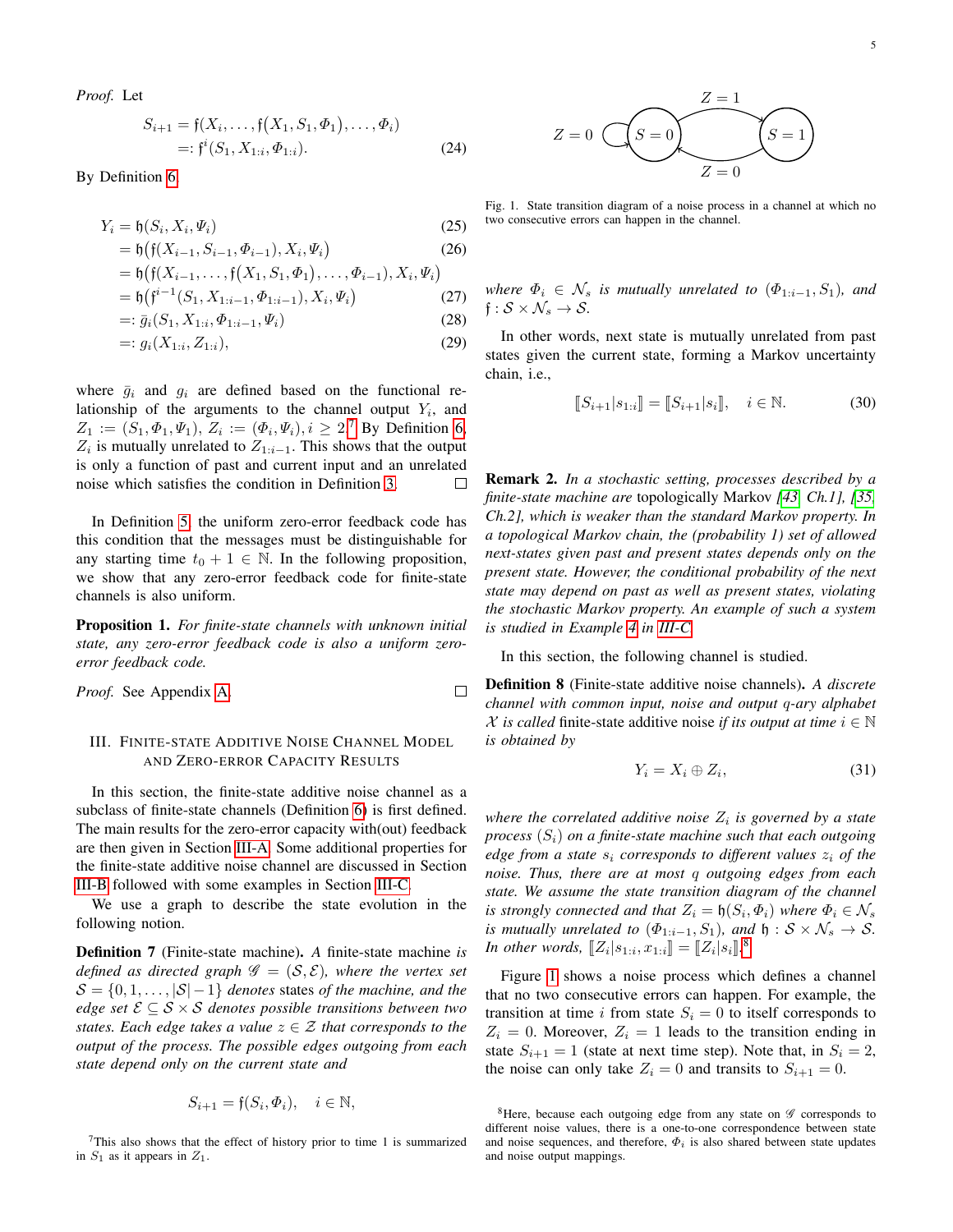*Proof.* Let

$$
S_{i+1} = \mathfrak{f}(X_i, \dots, \mathfrak{f}(X_1, S_1, \Phi_1), \dots, \Phi_i)
$$
  
=:  $\mathfrak{f}^i(S_1, X_{1:i}, \Phi_{1:i}).$  (24)

By Definition [6,](#page-3-7)

$$
Y_i = \mathfrak{h}(S_i, X_i, \Psi_i) \tag{25}
$$

$$
= \mathfrak{h}\big(\mathfrak{f}(X_{i-1}, S_{i-1}, \Phi_{i-1}), X_i, \Psi_i\big) \tag{26}
$$

$$
= \mathfrak{h}\big(\mathfrak{f}(X_{i-1},\ldots,\mathfrak{f}\big(X_1,S_1,\Phi_1\big),\ldots,\Phi_{i-1}),X_i,\Psi_i\big)
$$

$$
= \mathfrak{h}(\mathfrak{f}^{i-1}(S_1, X_{1:i-1}, \Phi_{1:i-1}), X_i, \Psi_i)
$$
 (27)

$$
=:\bar{g}_i(S_1, X_{1:i}, \Phi_{1:i-1}, \Psi_i) \tag{28}
$$

$$
=: g_i(X_{1:i}, Z_{1:i}), \tag{29}
$$

where  $\bar{g}_i$  and  $g_i$  are defined based on the functional relationship of the arguments to the channel output  $Y_i$ , and  $Z_1 := (S_1, \Phi_1, \Psi_1), Z_i := (\Phi_i, \Psi_i), i \geq 2$ .<sup>[7](#page-4-2)</sup> By Definition [6,](#page-3-7)  $Z_i$  is mutually unrelated to  $Z_{1:i-1}$ . This shows that the output is only a function of past and current input and an unrelated noise which satisfies the condition in Definition [3.](#page-2-3) П

In Definition [5,](#page-3-8) the uniform zero-error feedback code has this condition that the messages must be distinguishable for any starting time  $t_0 + 1 \in \mathbb{N}$ . In the following proposition, we show that any zero-error feedback code for finite-state channels is also uniform.

<span id="page-4-0"></span>Proposition 1. *For finite-state channels with unknown initial state, any zero-error feedback code is also a uniform zeroerror feedback code.*

 $\Box$ 

*Proof.* See Appendix [A.](#page-11-2)

# <span id="page-4-1"></span>III. FINITE-STATE ADDITIVE NOISE CHANNEL MODEL AND ZERO-ERROR CAPACITY RESULTS

In this section, the finite-state additive noise channel as a subclass of finite-state channels (Definition [6\)](#page-3-7) is first defined. The main results for the zero-error capacity with(out) feedback are then given in Section [III-A.](#page-5-2) Some additional properties for the finite-state additive noise channel are discussed in Section [III-B](#page-6-0) followed with some examples in Section [III-C.](#page-7-0)

We use a graph to describe the state evolution in the following notion.

<span id="page-4-6"></span>Definition 7 (Finite-state machine). *A* finite-state machine *is defined as directed graph*  $\mathscr{G} = (\mathcal{S}, \mathcal{E})$ *, where the vertex set*  $\mathcal{S} = \{0, 1, \ldots, |\mathcal{S}| - 1\}$  *denotes* states *of the machine, and the edge set*  $\mathcal{E} \subseteq \mathcal{S} \times \mathcal{S}$  *denotes possible transitions between two states. Each edge takes a value*  $z \in \mathcal{Z}$  *that corresponds to the output of the process. The possible edges outgoing from each state depend only on the current state and*

$$
S_{i+1} = \mathfrak{f}(S_i, \Phi_i), \quad i \in \mathbb{N},
$$

<span id="page-4-2"></span> $7$ This also shows that the effect of history prior to time 1 is summarized in  $S_1$  as it appears in  $Z_1$ .



<span id="page-4-4"></span>Fig. 1. State transition diagram of a noise process in a channel at which no two consecutive errors can happen in the channel.

<span id="page-4-7"></span>*where*  $\Phi_i \in \mathcal{N}_s$  *is mutually unrelated to*  $(\Phi_{1:i-1}, S_1)$ *, and*  $f: \mathcal{S} \times \mathcal{N}_s \rightarrow \mathcal{S}.$ 

In other words, next state is mutually unrelated from past states given the current state, forming a Markov uncertainty chain, i.e.,

$$
[[S_{i+1}|s_{1:i}]] = [[S_{i+1}|s_i]], \quad i \in \mathbb{N}.
$$
 (30)

Remark 2. *In a stochastic setting, processes described by a finite-state machine are* topologically Markov *[\[43,](#page-20-38) Ch.1], [\[35,](#page-20-30) Ch.2], which is weaker than the standard Markov property. In a topological Markov chain, the (probability 1) set of allowed next-states given past and present states depends only on the present state. However, the conditional probability of the next state may depend on past as well as present states, violating the stochastic Markov property. An example of such a system is studied in Example [4](#page-8-0) in [III-C.](#page-7-0)*

In this section, the following channel is studied.

<span id="page-4-5"></span>Definition 8 (Finite-state additive noise channels). *A discrete channel with common input, noise and output* q*-ary alphabet X* is called finite-state additive noise *if its output at time*  $i \in \mathbb{N}$ *is obtained by*

$$
Y_i = X_i \oplus Z_i,\tag{31}
$$

where the correlated additive noise  $Z_i$  is governed by a state *process*  $(S_i)$  *on a finite-state machine such that each outgoing edge from a state*  $s_i$  *corresponds to different values*  $z_i$  *of the noise. Thus, there are at most* q *outgoing edges from each state. We assume the state transition diagram of the channel is strongly connected and that*  $Z_i = \mathfrak{h}(S_i, \Phi_i)$  *where*  $\Phi_i \in \mathcal{N}_s$ *is mutually unrelated to*  $(\Phi_{1:i-1}, S_1)$ *, and*  $\mathfrak{h}: \mathcal{S} \times \mathcal{N}_s \rightarrow \mathcal{S}$ *. In other words,*  $[\![Z_i|s_{1:i}, x_{1:i}]\!] = [\![Z_i|s_i]\!]$ .<sup>[8](#page-4-3)</sup>

Figure [1](#page-4-4) shows a noise process which defines a channel that no two consecutive errors can happen. For example, the transition at time i from state  $S_i = 0$  to itself corresponds to  $Z_i = 0$ . Moreover,  $Z_i = 1$  leads to the transition ending in state  $S_{i+1} = 1$  (state at next time step). Note that, in  $S_i = 2$ , the noise can only take  $Z_i = 0$  and transits to  $S_{i+1} = 0$ .

<span id="page-4-3"></span><sup>&</sup>lt;sup>8</sup>Here, because each outgoing edge from any state on  $\mathscr G$  corresponds to different noise values, there is a one-to-one correspondence between state and noise sequences, and therefore,  $\Phi_i$  is also shared between state updates and noise output mappings.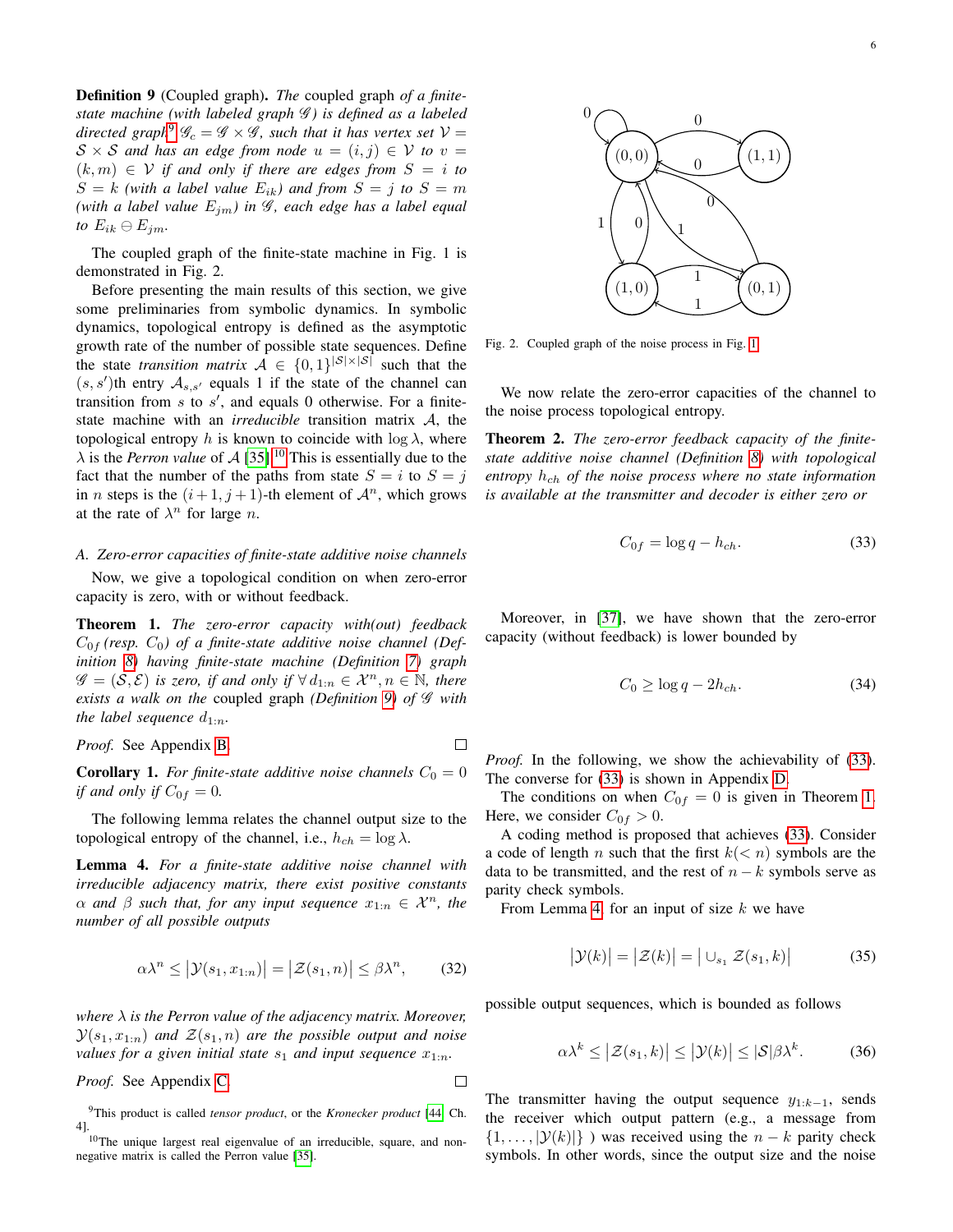<span id="page-5-5"></span>Definition 9 (Coupled graph). *The* coupled graph *of a finitestate machine (with labeled graph* G *) is defined as a labeled directed graph*<sup>[9](#page-5-3)</sup>  $\mathscr{G}_c = \mathscr{G} \times \mathscr{G}$ *, such that it has vertex set*  $\mathcal{V} =$  $S \times S$  *and has an edge from node*  $u = (i, j) \in V$  *to*  $v =$  $(k, m) \in V$  *if and only if there are edges from*  $S = i$  *to*  $S = k$  *(with a label value*  $E_{ik}$ *) and from*  $S = j$  *to*  $S = m$ *(with a label value*  $E_{im}$ *) in*  $\mathscr{G}$ *, each edge has a label equal* to  $E_{ik} \ominus E_{jm}$ .

The coupled graph of the finite-state machine in Fig. 1 is demonstrated in Fig. 2.

Before presenting the main results of this section, we give some preliminaries from symbolic dynamics. In symbolic dynamics, topological entropy is defined as the asymptotic growth rate of the number of possible state sequences. Define the state *transition matrix*  $A \in \{0,1\}^{|S| \times |S|}$  such that the  $(s, s')$ th entry  $\mathcal{A}_{s,s'}$  equals 1 if the state of the channel can transition from  $s$  to  $s'$ , and equals 0 otherwise. For a finitestate machine with an *irreducible* transition matrix A, the topological entropy h is known to coincide with  $\log \lambda$ , where  $\lambda$  is the *Perron value* of A [\[35\]](#page-20-30).<sup>[10](#page-5-4)</sup> This is essentially due to the fact that the number of the paths from state  $S = i$  to  $S = j$ in *n* steps is the  $(i+1, j+1)$ -th element of  $\mathcal{A}^n$ , which grows at the rate of  $\lambda^n$  for large *n*.

# <span id="page-5-2"></span>*A. Zero-error capacities of finite-state additive noise channels*

Now, we give a topological condition on when zero-error capacity is zero, with or without feedback.

<span id="page-5-1"></span>Theorem 1. *The zero-error capacity with(out) feedback*  $C_{0f}$  (resp.  $C_0$ ) of a finite-state additive noise channel (Def*inition [8\)](#page-4-5) having finite-state machine (Definition [7\)](#page-4-6) graph*  $\mathscr{G} = (\mathcal{S}, \mathcal{E})$  *is zero, if and only if*  $\forall d_{1:n} \in \mathcal{X}^n, n \in \mathbb{N}$ *, there exists a walk on the* coupled graph *(Definition [9\)](#page-5-5) of* G *with the label sequence*  $d_{1:n}$ *.* 

# *Proof.* See Appendix [B.](#page-12-0)

**Corollary 1.** For finite-state additive noise channels  $C_0 = 0$ *if and only if*  $C_{0f} = 0$ .

 $\Box$ 

 $\Box$ 

The following lemma relates the channel output size to the topological entropy of the channel, i.e.,  $h_{ch} = \log \lambda$ .

<span id="page-5-7"></span>Lemma 4. *For a finite-state additive noise channel with irreducible adjacency matrix, there exist positive constants*  $\alpha$  *and*  $\beta$  *such that, for any input sequence*  $x_{1:n} \in \mathcal{X}^n$ *, the number of all possible outputs*

$$
\alpha \lambda^n \le |\mathcal{Y}(s_1, x_{1:n})| = |\mathcal{Z}(s_1, n)| \le \beta \lambda^n, \qquad (32)
$$

*where* λ *is the Perron value of the adjacency matrix. Moreover,*  $\mathcal{Y}(s_1, x_{1:n})$  and  $\mathcal{Z}(s_1, n)$  are the possible output and noise *values for a given initial state*  $s_1$  *and input sequence*  $x_{1:n}$ *.* 

*Proof.* See Appendix [C.](#page-12-1)



<span id="page-5-11"></span>Fig. 2. Coupled graph of the noise process in Fig. [1.](#page-4-4)

We now relate the zero-error capacities of the channel to the noise process topological entropy.

<span id="page-5-0"></span>Theorem 2. *The zero-error feedback capacity of the finitestate additive noise channel (Definition [8\)](#page-4-5) with topological* entropy  $h_{ch}$  of the noise process where no state information *is available at the transmitter and decoder is either zero or*

<span id="page-5-6"></span>
$$
C_{0f} = \log q - h_{ch}.\tag{33}
$$

Moreover, in [\[37\]](#page-20-32), we have shown that the zero-error capacity (without feedback) is lower bounded by

<span id="page-5-9"></span>
$$
C_0 \ge \log q - 2h_{ch}.\tag{34}
$$

*Proof.* In the following, we show the achievability of [\(33\)](#page-5-6). The converse for [\(33\)](#page-5-6) is shown in Appendix [D.](#page-13-0)

The conditions on when  $C_{0f} = 0$  is given in Theorem [1.](#page-5-1) Here, we consider  $C_{0f} > 0$ .

A coding method is proposed that achieves [\(33\)](#page-5-6). Consider a code of length n such that the first  $k(< n)$  symbols are the data to be transmitted, and the rest of  $n - k$  symbols serve as parity check symbols.

From Lemma [4,](#page-5-7) for an input of size  $k$  we have

$$
\left|\mathcal{Y}(k)\right| = \left|\mathcal{Z}(k)\right| = \left|\cup_{s_1} \mathcal{Z}(s_1, k)\right| \tag{35}
$$

<span id="page-5-10"></span>possible output sequences, which is bounded as follows

<span id="page-5-8"></span>
$$
\alpha \lambda^k \le |\mathcal{Z}(s_1, k)| \le |\mathcal{Y}(k)| \le |\mathcal{S}|\beta \lambda^k. \tag{36}
$$

The transmitter having the output sequence  $y_{1:k-1}$ , sends the receiver which output pattern (e.g., a message from  $\{1, \ldots, |\mathcal{Y}(k)|\}$ ) was received using the  $n - k$  parity check symbols. In other words, since the output size and the noise

<span id="page-5-3"></span><sup>9</sup>This product is called *tensor product*, or the *Kronecker product* [\[44,](#page-20-39) Ch. 4].

<span id="page-5-4"></span><sup>&</sup>lt;sup>10</sup>The unique largest real eigenvalue of an irreducible, square, and nonnegative matrix is called the Perron value [\[35\]](#page-20-30).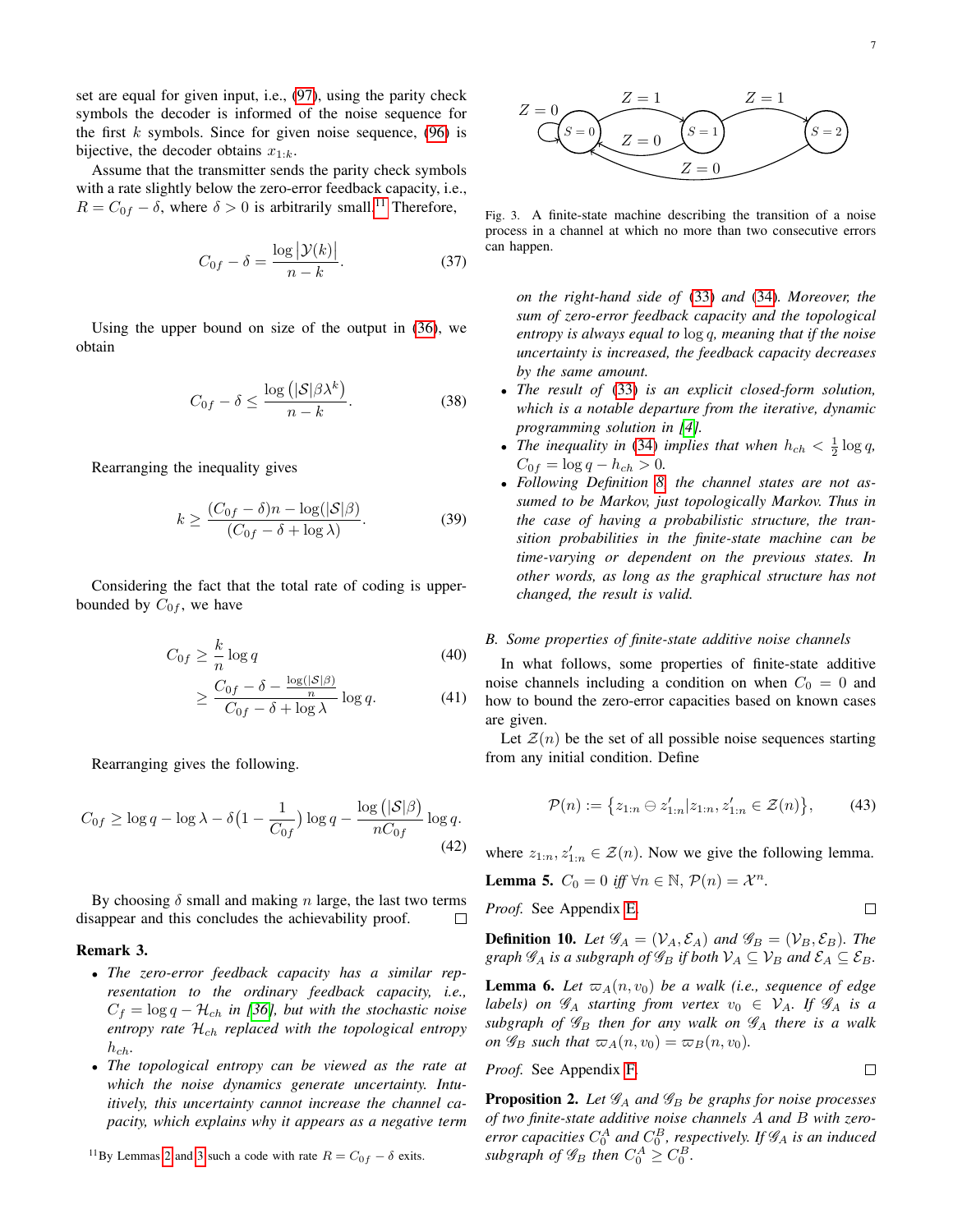set are equal for given input, i.e., [\(97\)](#page-12-2), using the parity check symbols the decoder is informed of the noise sequence for the first  $k$  symbols. Since for given noise sequence, [\(96\)](#page-12-3) is bijective, the decoder obtains  $x_{1:k}$ .

Assume that the transmitter sends the parity check symbols with a rate slightly below the zero-error feedback capacity, i.e.,  $R = C_{0f} - \delta$ , where  $\delta > 0$  is arbitrarily small.<sup>[11](#page-6-1)</sup> Therefore,

$$
C_{0f} - \delta = \frac{\log |\mathcal{Y}(k)|}{n - k}.
$$
 (37)

Using the upper bound on size of the output in [\(36\)](#page-5-8), we obtain

$$
C_{0f} - \delta \le \frac{\log\left(|\mathcal{S}|\beta\lambda^k\right)}{n-k}.\tag{38}
$$

Rearranging the inequality gives

$$
k \ge \frac{(C_{0f} - \delta)n - \log(|\mathcal{S}|\beta)}{(C_{0f} - \delta + \log \lambda)}.
$$
 (39)

Considering the fact that the total rate of coding is upperbounded by  $C_{0f}$ , we have

$$
C_{0f} \ge \frac{k}{n} \log q \tag{40}
$$

$$
\geq \frac{C_{0f} - \delta - \frac{\log(|\mathcal{S}|\beta)}{n}}{C_{0f} - \delta + \log \lambda} \log q.
$$
 (41)

Rearranging gives the following.

$$
C_{0f} \ge \log q - \log \lambda - \delta \left( 1 - \frac{1}{C_{0f}} \right) \log q - \frac{\log \left( |\mathcal{S}| \beta \right)}{n C_{0f}} \log q. \tag{42}
$$

By choosing  $\delta$  small and making n large, the last two terms disappear and this concludes the achievability proof.  $\Box$ 

# Remark 3. *.*

- *The zero-error feedback capacity has a similar representation to the ordinary feedback capacity, i.e.,*  $C_f = \log q - \mathcal{H}_{ch}$  *in [\[36\]](#page-20-31), but with the stochastic noise* entropy rate  $\mathcal{H}_{ch}$  replaced with the topological entropy  $h_{ch}$ .
- *The topological entropy can be viewed as the rate at which the noise dynamics generate uncertainty. Intuitively, this uncertainty cannot increase the channel capacity, which explains why it appears as a negative term*



<span id="page-6-2"></span>Fig. 3. A finite-state machine describing the transition of a noise process in a channel at which no more than two consecutive errors can happen.

*on the right-hand side of* [\(33\)](#page-5-6) *and* [\(34\)](#page-5-9)*. Moreover, the sum of zero-error feedback capacity and the topological entropy is always equal to* log q*, meaning that if the noise uncertainty is increased, the feedback capacity decreases by the same amount.*

- *The result of* [\(33\)](#page-5-6) *is an explicit closed-form solution, which is a notable departure from the iterative, dynamic programming solution in [\[4\]](#page-20-2).*
- *The inequality in* [\(34\)](#page-5-9) *implies that when*  $h_{ch} < \frac{1}{2} \log q$ ,  $C_{0f} = \log q - h_{ch} > 0.$
- *Following Definition [8,](#page-4-5) the channel states are not assumed to be Markov, just topologically Markov. Thus in the case of having a probabilistic structure, the transition probabilities in the finite-state machine can be time-varying or dependent on the previous states. In other words, as long as the graphical structure has not changed, the result is valid.*

### <span id="page-6-0"></span>*B. Some properties of finite-state additive noise channels*

In what follows, some properties of finite-state additive noise channels including a condition on when  $C_0 = 0$  and how to bound the zero-error capacities based on known cases are given.

Let  $\mathcal{Z}(n)$  be the set of all possible noise sequences starting from any initial condition. Define

$$
\mathcal{P}(n) := \{ z_{1:n} \oplus z'_{1:n} | z_{1:n}, z'_{1:n} \in \mathcal{Z}(n) \},\qquad(43)
$$

where  $z_{1:n}, z'_{1:n} \in \mathcal{Z}(n)$ . Now we give the following lemma.

<span id="page-6-4"></span>**Lemma 5.**  $C_0 = 0$  iff  $\forall n \in \mathbb{N}, P(n) = \mathcal{X}^n$ .

*Proof.* See Appendix [E.](#page-13-1)

<span id="page-6-6"></span>**Definition 10.** Let  $\mathscr{G}_A = (\mathcal{V}_A, \mathcal{E}_A)$  and  $\mathscr{G}_B = (\mathcal{V}_B, \mathcal{E}_B)$ . The *graph*  $\mathscr{G}_A$  *is a subgraph of*  $\mathscr{G}_B$  *if both*  $\mathcal{V}_A \subseteq \mathcal{V}_B$  *and*  $\mathcal{E}_A \subseteq \mathcal{E}_B$ *.* 

<span id="page-6-5"></span>**Lemma 6.** Let  $\varpi_A(n, v_0)$  be a walk (i.e., sequence of edge *labels)* on  $\mathscr{G}_A$  *starting from vertex*  $v_0 \in \mathcal{V}_A$ *. If*  $\mathscr{G}_A$  *is a*  $subgraph$  of  $\mathscr{G}_B$  then for any walk on  $\mathscr{G}_A$  there is a walk *on*  $\mathscr{G}_B$  *such that*  $\varpi_A(n, v_0) = \varpi_B(n, v_0)$ *.* 

*Proof.* See Appendix [F.](#page-13-2)

$$
\Box
$$

 $\Box$ 

<span id="page-6-3"></span>**Proposition 2.** Let  $\mathscr{G}_A$  and  $\mathscr{G}_B$  be graphs for noise processes *of two finite-state additive noise channels* A *and* B *with zero*error capacities  $C_0^A$  and  $C_0^B$ , respectively. If  $\mathscr{G}_A$  is an induced subgraph of  $\mathscr{G}_B$  then  $C_0^A \geq C_0^B$ .

<span id="page-6-1"></span><sup>&</sup>lt;sup>11</sup>By Lemmas [2](#page-3-9) and [3](#page-3-10) such a code with rate  $R = C_{0f} - \delta$  exits.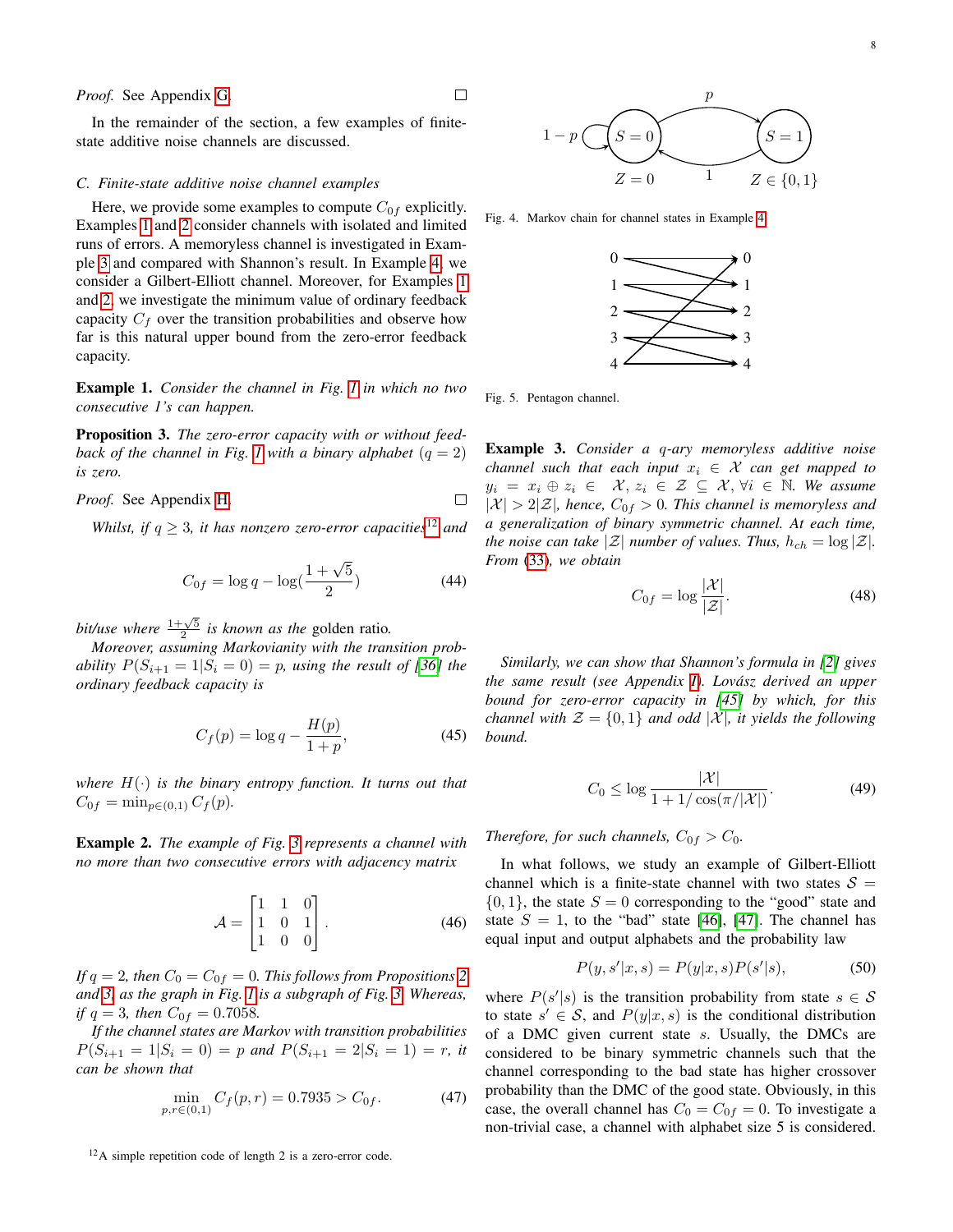In the remainder of the section, a few examples of finitestate additive noise channels are discussed.

#### <span id="page-7-0"></span>*C. Finite-state additive noise channel examples*

Here, we provide some examples to compute  $C_{0f}$  explicitly. Examples [1](#page-7-1) and [2](#page-7-2) consider channels with isolated and limited runs of errors. A memoryless channel is investigated in Example [3](#page-7-3) and compared with Shannon's result. In Example [4,](#page-8-0) we consider a Gilbert-Elliott channel. Moreover, for Examples [1](#page-7-1) and [2,](#page-7-2) we investigate the minimum value of ordinary feedback capacity  $C_f$  over the transition probabilities and observe how far is this natural upper bound from the zero-error feedback capacity.

<span id="page-7-1"></span>Example 1. *Consider the channel in Fig. [1](#page-4-4) in which no two consecutive 1's can happen.*

<span id="page-7-5"></span>Proposition 3. *The zero-error capacity with or without feed-back of the channel in Fig. [1](#page-4-4) with a binary alphabet*  $(q = 2)$ *is zero.*

#### *Proof.* See Appendix [H.](#page-14-0)  $\Box$

*Whilst, if*  $q \geq 3$ *, it has nonzero zero-error capacities*<sup>[12](#page-7-4)</sup> *and* 

$$
C_{0f} = \log q - \log(\frac{1+\sqrt{5}}{2})
$$
\n(44)

*bit/use where*  $\frac{1+\sqrt{5}}{2}$  *is known as the* golden ratio.

*Moreover, assuming Markovianity with the transition probability*  $P(S_{i+1} = 1 | S_i = 0) = p$ *, using the result of [\[36\]](#page-20-31) the ordinary feedback capacity is*

$$
C_f(p) = \log q - \frac{H(p)}{1+p},
$$
\n(45)

*where*  $H(\cdot)$  *is the binary entropy function. It turns out that*  $C_{0f} = \min_{p \in (0,1)} C_f(p)$ .

<span id="page-7-2"></span>Example 2. *The example of Fig. [3](#page-6-2) represents a channel with no more than two consecutive errors with adjacency matrix*

$$
\mathcal{A} = \begin{bmatrix} 1 & 1 & 0 \\ 1 & 0 & 1 \\ 1 & 0 & 0 \end{bmatrix} . \tag{46}
$$

*If*  $q = 2$  $q = 2$ *, then*  $C_0 = C_{0f} = 0$ *. This follows from Propositions* 2 *and [3,](#page-7-5) as the graph in Fig. [1](#page-4-4) is a subgraph of Fig. [3.](#page-6-2) Whereas, if*  $q = 3$ *, then*  $C_{0f} = 0.7058$ *.* 

*If the channel states are Markov with transition probabilities*  $P(S_{i+1} = 1|S_i = 0) = p$  and  $P(S_{i+1} = 2|S_i = 1) = r$ , it *can be shown that*

$$
\min_{p,r \in (0,1)} C_f(p,r) = 0.7935 > C_{0f}.
$$
 (47)

<span id="page-7-4"></span><sup>12</sup>A simple repetition code of length 2 is a zero-error code.



<span id="page-7-6"></span>Fig. 4. Markov chain for channel states in Example [4.](#page-8-0)



<span id="page-7-7"></span>Fig. 5. Pentagon channel.

 $\Box$ 

<span id="page-7-3"></span>Example 3. *Consider a* q*-ary memoryless additive noise channel such that each input*  $x_i \in \mathcal{X}$  *can get mapped to*  $y_i = x_i \oplus z_i \in \mathcal{X}, z_i \in \mathcal{Z} \subseteq \mathcal{X}, \forall i \in \mathbb{N}$ . We assume  $|\mathcal{X}| > 2|\mathcal{Z}|$ , hence,  $C_{0f} > 0$ . This channel is memoryless and *a generalization of binary symmetric channel. At each time, the noise can take*  $|\mathcal{Z}|$  *number of values. Thus,*  $h_{ch} = \log |\mathcal{Z}|$ *. From* [\(33\)](#page-5-6)*, we obtain*

<span id="page-7-8"></span>
$$
C_{0f} = \log \frac{|\mathcal{X}|}{|\mathcal{Z}|}.
$$
 (48)

*Similarly, we can show that Shannon's formula in [\[2\]](#page-20-0) gives the same result (see Appendix [I\)](#page-14-1). Lovasz derived an upper ´ bound for zero-error capacity in [\[45\]](#page-20-40) by which, for this channel with*  $\mathcal{Z} = \{0, 1\}$  *and odd*  $|\mathcal{X}|$ *, it yields the following bound.*

$$
C_0 \le \log \frac{|\mathcal{X}|}{1 + 1/\cos(\pi/|\mathcal{X}|)}.\tag{49}
$$

*Therefore, for such channels,*  $C_{0f} > C_0$ *.* 

In what follows, we study an example of Gilbert-Elliott channel which is a finite-state channel with two states  $S =$  $\{0, 1\}$ , the state  $S = 0$  corresponding to the "good" state and state  $S = 1$ , to the "bad" state [\[46\]](#page-20-41), [\[47\]](#page-20-42). The channel has equal input and output alphabets and the probability law

$$
P(y, s'|x, s) = P(y|x, s)P(s'|s),
$$
\n(50)

where  $P(s'|s)$  is the transition probability from state  $s \in S$ to state  $s' \in S$ , and  $P(y|x, s)$  is the conditional distribution of a DMC given current state s. Usually, the DMCs are considered to be binary symmetric channels such that the channel corresponding to the bad state has higher crossover probability than the DMC of the good state. Obviously, in this case, the overall channel has  $C_0 = C_{0f} = 0$ . To investigate a non-trivial case, a channel with alphabet size 5 is considered.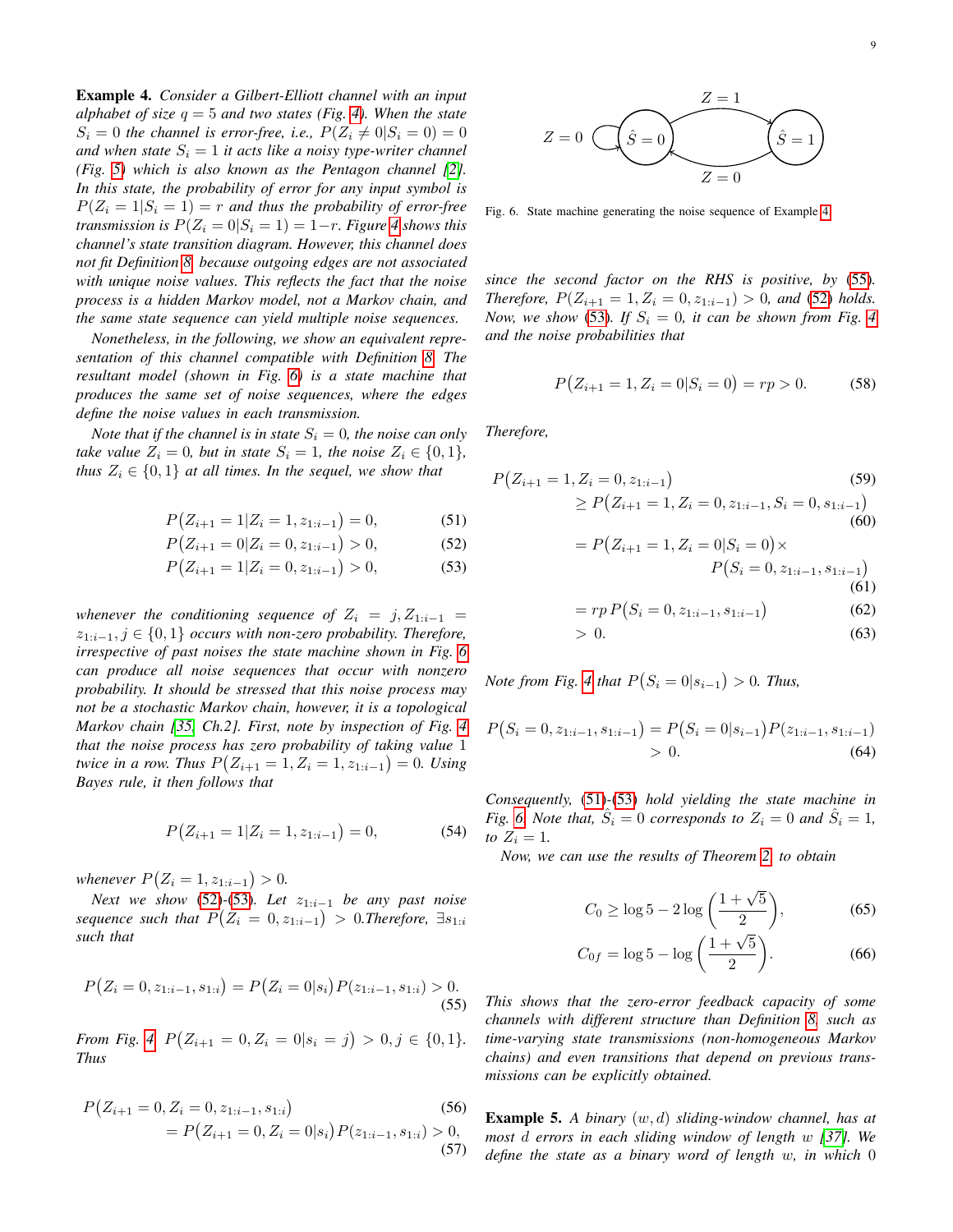<span id="page-8-0"></span>Example 4. *Consider a Gilbert-Elliott channel with an input alphabet of size* q = 5 *and two states (Fig. [4\)](#page-7-6). When the state*  $S_i = 0$  the channel is error-free, i.e.,  $P(Z_i \neq 0 | S_i = 0) = 0$ *and when state*  $S_i = 1$  *it acts like a noisy type-writer channel (Fig. [5\)](#page-7-7) which is also known as the Pentagon channel [\[2\]](#page-20-0). In this state, the probability of error for any input symbol is*  $P(Z_i = 1|S_i = 1) = r$  and thus the probability of error-free *transmission is*  $P(Z_i = 0 | S_i = 1) = 1-r$ *. Figure [4](#page-7-6) shows this channel's state transition diagram. However, this channel does not fit Definition [8,](#page-4-5) because outgoing edges are not associated with unique noise values. This reflects the fact that the noise process is a hidden Markov model, not a Markov chain, and the same state sequence can yield multiple noise sequences.*

*Nonetheless, in the following, we show an equivalent representation of this channel compatible with Definition [8.](#page-4-5) The resultant model (shown in Fig. [6\)](#page-8-1) is a state machine that produces the same set of noise sequences, where the edges define the noise values in each transmission.*

*Note that if the channel is in state*  $S_i = 0$ *, the noise can only take value*  $Z_i = 0$ *, but in state*  $S_i = 1$ *, the noise*  $Z_i \in \{0, 1\}$ *, thus*  $Z_i \in \{0,1\}$  *at all times. In the sequel, we show that* 

$$
P(Z_{i+1} = 1 | Z_i = 1, z_{1:i-1}) = 0,\t(51)
$$

$$
P(Z_{i+1} = 0 | Z_i = 0, z_{1:i-1}) > 0,
$$
\n(52)

$$
P(Z_{i+1} = 1 | Z_i = 0, z_{1:i-1}) > 0,
$$
\n(53)

*whenever the conditioning sequence of*  $Z_i = j, Z_{1:i-1}$  = z1:i−1, j ∈ {0, 1} *occurs with non-zero probability. Therefore, irrespective of past noises the state machine shown in Fig. [6](#page-8-1) can produce all noise sequences that occur with nonzero probability. It should be stressed that this noise process may not be a stochastic Markov chain, however, it is a topological Markov chain [\[35,](#page-20-30) Ch.2]. First, note by inspection of Fig. [4](#page-7-6) that the noise process has zero probability of taking value* 1 *twice in a row. Thus*  $P(Z_{i+1} = 1, Z_i = 1, z_{1:i-1}) = 0$ . Using *Bayes rule, it then follows that*

$$
P(Z_{i+1} = 1 | Z_i = 1, z_{1:i-1}) = 0,\t(54)
$$

*whenever*  $P(Z_i = 1, z_{1:i-1}) > 0$ .

*Next we show* [\(52\)](#page-8-2)-[\(53\)](#page-8-3)*. Let*  $z_{1:i-1}$  *be any past noise*  $sequence \text{ such that } P(Z_i = 0, z_{1:i-1}) > 0$ . Therefore,  $\exists s_{1:i}$ *such that*

$$
P(Z_i = 0, z_{1:i-1}, s_{1:i}) = P(Z_i = 0|s_i)P(z_{1:i-1}, s_{1:i}) > 0.
$$
\n(55)

*From Fig.* [4,](#page-7-6)  $P(Z_{i+1} = 0, Z_i = 0 | s_i = j) > 0, j \in \{0, 1\}.$ *Thus*

$$
P(Z_{i+1} = 0, Z_i = 0, z_{1:i-1}, s_{1:i})
$$
\n
$$
= P(Z_{i+1} = 0, Z_i = 0 | s_i) P(z_{1:i-1}, s_{1:i}) > 0,
$$
\n(57)



<span id="page-8-1"></span>Fig. 6. State machine generating the noise sequence of Example [4.](#page-8-0)

*since the second factor on the RHS is positive, by* [\(55\)](#page-8-4)*. Therefore,*  $P(Z_{i+1} = 1, Z_i = 0, z_{1:i-1}) > 0$ *, and* (52*) holds. Now, we show* [\(53\)](#page-8-3)*. If*  $S_i = 0$ *, it can be shown from Fig.* [4](#page-7-6) *and the noise probabilities that*

$$
P(Z_{i+1} = 1, Z_i = 0 | S_i = 0) = rp > 0.
$$
 (58)

*Therefore,*

<span id="page-8-5"></span><span id="page-8-3"></span><span id="page-8-2"></span>
$$
P(Z_{i+1} = 1, Z_i = 0, z_{1:i-1})
$$
\n
$$
\ge P(Z_{i+1} = 1, Z_i = 0, z_{1:i-1}, S_i = 0, s_{1:i-1})
$$
\n(60)\n
$$
= P(Z_{i+1} = 1, Z_i = 0 | S_i = 0) \times P(S_i = 0, z_{1:i-1}, s_{1:i-1})
$$
\n(61)\n
$$
= rp P(S_i = 0, z_{1:i-1}, s_{1:i-1})
$$
\n(62)\n
$$
> 0.
$$
\n(63)

*Note from Fig.* [4](#page-7-6) *that*  $P(S_i = 0 | s_{i-1}) > 0$ *. Thus,* 

$$
P(S_i = 0, z_{1:i-1}, s_{1:i-1}) = P(S_i = 0|s_{i-1})P(z_{1:i-1}, s_{1:i-1})
$$
  
> 0. (64)

*Consequently,* [\(51\)](#page-8-5)*-*[\(53\)](#page-8-3) *hold yielding the state machine in Fig.* [6.](#page-8-1) Note that,  $\hat{S}_i = 0$  corresponds to  $Z_i = 0$  and  $\hat{S}_i = 1$ , *to*  $Z_i = 1$ .

*Now, we can use the results of Theorem [2,](#page-5-0) to obtain*

$$
C_0 \ge \log 5 - 2\log\left(\frac{1+\sqrt{5}}{2}\right),\tag{65}
$$

$$
C_{0f} = \log 5 - \log \left( \frac{1 + \sqrt{5}}{2} \right).
$$
 (66)

<span id="page-8-4"></span>*This shows that the zero-error feedback capacity of some channels with different structure than Definition [8,](#page-4-5) such as time-varying state transmissions (non-homogeneous Markov chains) and even transitions that depend on previous transmissions can be explicitly obtained.*

<span id="page-8-6"></span>Example 5. *A binary* (w, d) *sliding-window channel, has at most* d *errors in each sliding window of length* w *[\[37\]](#page-20-32). We define the state as a binary word of length* w*, in which* 0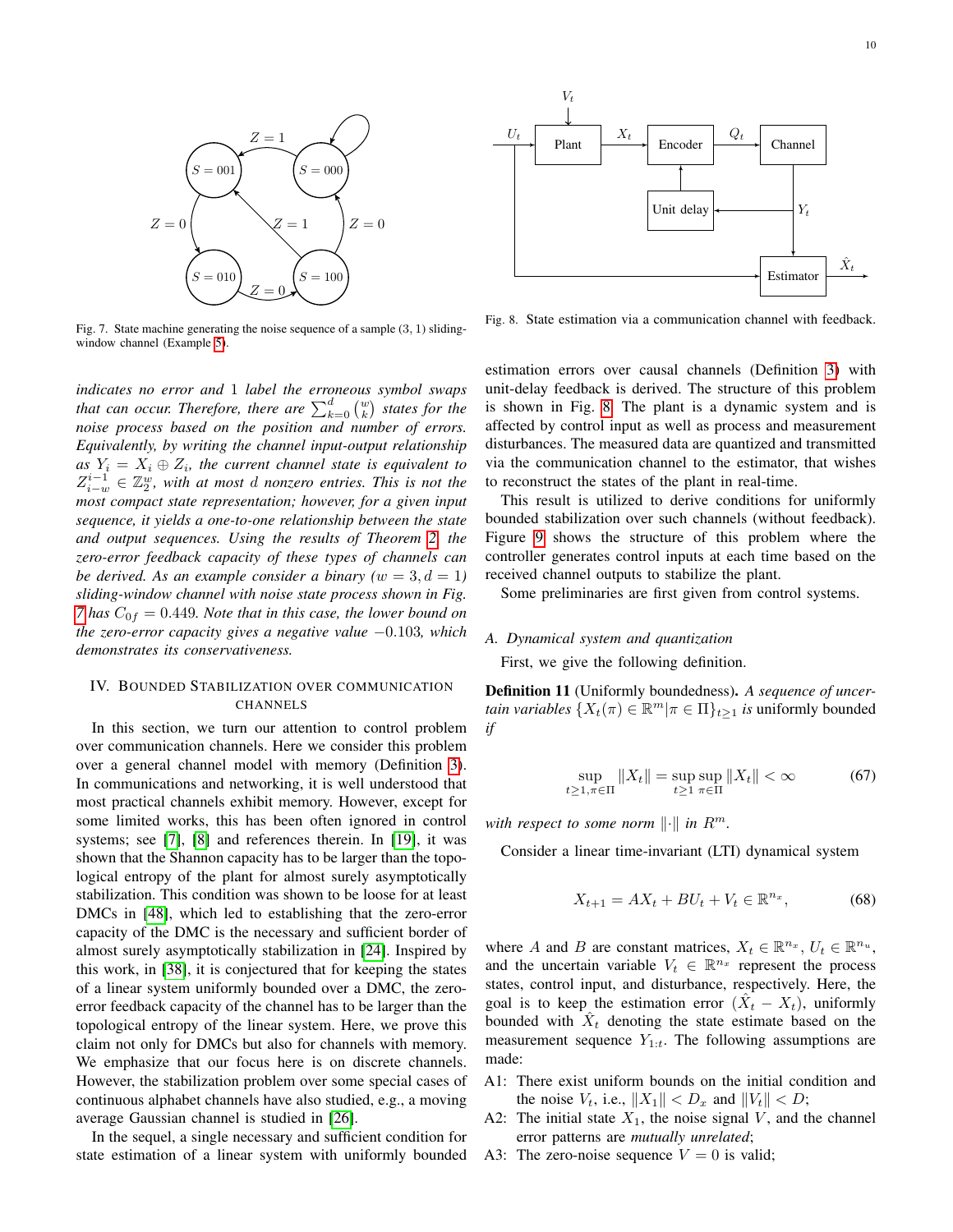

<span id="page-9-1"></span>Fig. 7. State machine generating the noise sequence of a sample  $(3, 1)$  slidingwindow channel (Example [5\)](#page-8-6).

*indicates no error and* 1 *label the erroneous symbol swaps that can occur. Therefore, there are*  $\sum_{k=0}^{d} \binom{w}{k}$  *states for the noise process based on the position and number of errors. Equivalently, by writing the channel input-output relationship*  $as\;Y_i\,=\,X_i\oplus Z_i$ , the current channel state is equivalent to  $Z_{i-w}^{i-1} \in \mathbb{Z}_2^w$ , with at most d nonzero entries. This is not the *most compact state representation; however, for a given input sequence, it yields a one-to-one relationship between the state and output sequences. Using the results of Theorem [2,](#page-5-0) the zero-error feedback capacity of these types of channels can be derived. As an example consider a binary*  $(w = 3, d = 1)$ *sliding-window channel with noise state process shown in Fig. [7](#page-9-1)* has  $C_{0f} = 0.449$ *. Note that in this case, the lower bound on the zero-error capacity gives a negative value* −0.103*, which demonstrates its conservativeness.*

# <span id="page-9-0"></span>IV. BOUNDED STABILIZATION OVER COMMUNICATION CHANNELS

In this section, we turn our attention to control problem over communication channels. Here we consider this problem over a general channel model with memory (Definition [3\)](#page-2-3). In communications and networking, it is well understood that most practical channels exhibit memory. However, except for some limited works, this has been often ignored in control systems; see [\[7\]](#page-20-15), [\[8\]](#page-20-6) and references therein. In [\[19\]](#page-20-16), it was shown that the Shannon capacity has to be larger than the topological entropy of the plant for almost surely asymptotically stabilization. This condition was shown to be loose for at least DMCs in [\[48\]](#page-20-43), which led to establishing that the zero-error capacity of the DMC is the necessary and sufficient border of almost surely asymptotically stabilization in [\[24\]](#page-20-21). Inspired by this work, in [\[38\]](#page-20-33), it is conjectured that for keeping the states of a linear system uniformly bounded over a DMC, the zeroerror feedback capacity of the channel has to be larger than the topological entropy of the linear system. Here, we prove this claim not only for DMCs but also for channels with memory. We emphasize that our focus here is on discrete channels. However, the stabilization problem over some special cases of continuous alphabet channels have also studied, e.g., a moving average Gaussian channel is studied in [\[26\]](#page-20-23).

In the sequel, a single necessary and sufficient condition for state estimation of a linear system with uniformly bounded



<span id="page-9-2"></span>Fig. 8. State estimation via a communication channel with feedback.

estimation errors over causal channels (Definition [3\)](#page-2-3) with unit-delay feedback is derived. The structure of this problem is shown in Fig. [8.](#page-9-2) The plant is a dynamic system and is affected by control input as well as process and measurement disturbances. The measured data are quantized and transmitted via the communication channel to the estimator, that wishes to reconstruct the states of the plant in real-time.

This result is utilized to derive conditions for uniformly bounded stabilization over such channels (without feedback). Figure [9](#page-10-1) shows the structure of this problem where the controller generates control inputs at each time based on the received channel outputs to stabilize the plant.

Some preliminaries are first given from control systems.

#### *A. Dynamical system and quantization*

First, we give the following definition.

Definition 11 (Uniformly boundedness). *A sequence of uncertain variables*  $\{X_t(\pi) \in \mathbb{R}^m | \pi \in \Pi\}_{t \geq 1}$  *is* uniformly bounded *if*

$$
\sup_{t \ge 1, \pi \in \Pi} \|X_t\| = \sup_{t \ge 1} \sup_{\pi \in \Pi} \|X_t\| < \infty \tag{67}
$$

*with respect to some norm*  $\|\cdot\|$  *in*  $R^m$ .

Consider a linear time-invariant (LTI) dynamical system

<span id="page-9-3"></span>
$$
X_{t+1} = AX_t + BU_t + V_t \in \mathbb{R}^{n_x},\tag{68}
$$

where A and B are constant matrices,  $X_t \in \mathbb{R}^{n_x}$ ,  $U_t \in \mathbb{R}^{n_u}$ , and the uncertain variable  $V_t \in \mathbb{R}^{n_x}$  represent the process states, control input, and disturbance, respectively. Here, the goal is to keep the estimation error  $(\hat{X}_t - X_t)$ , uniformly bounded with  $\hat{X}_t$  denoting the state estimate based on the measurement sequence  $Y_{1:t}$ . The following assumptions are made:

- A1: There exist uniform bounds on the initial condition and the noise  $V_t$ , i.e.,  $||X_1|| < D_x$  and  $||V_t|| < D$ ;
- A2: The initial state  $X_1$ , the noise signal V, and the channel error patterns are *mutually unrelated*;
- A3: The zero-noise sequence  $V = 0$  is valid;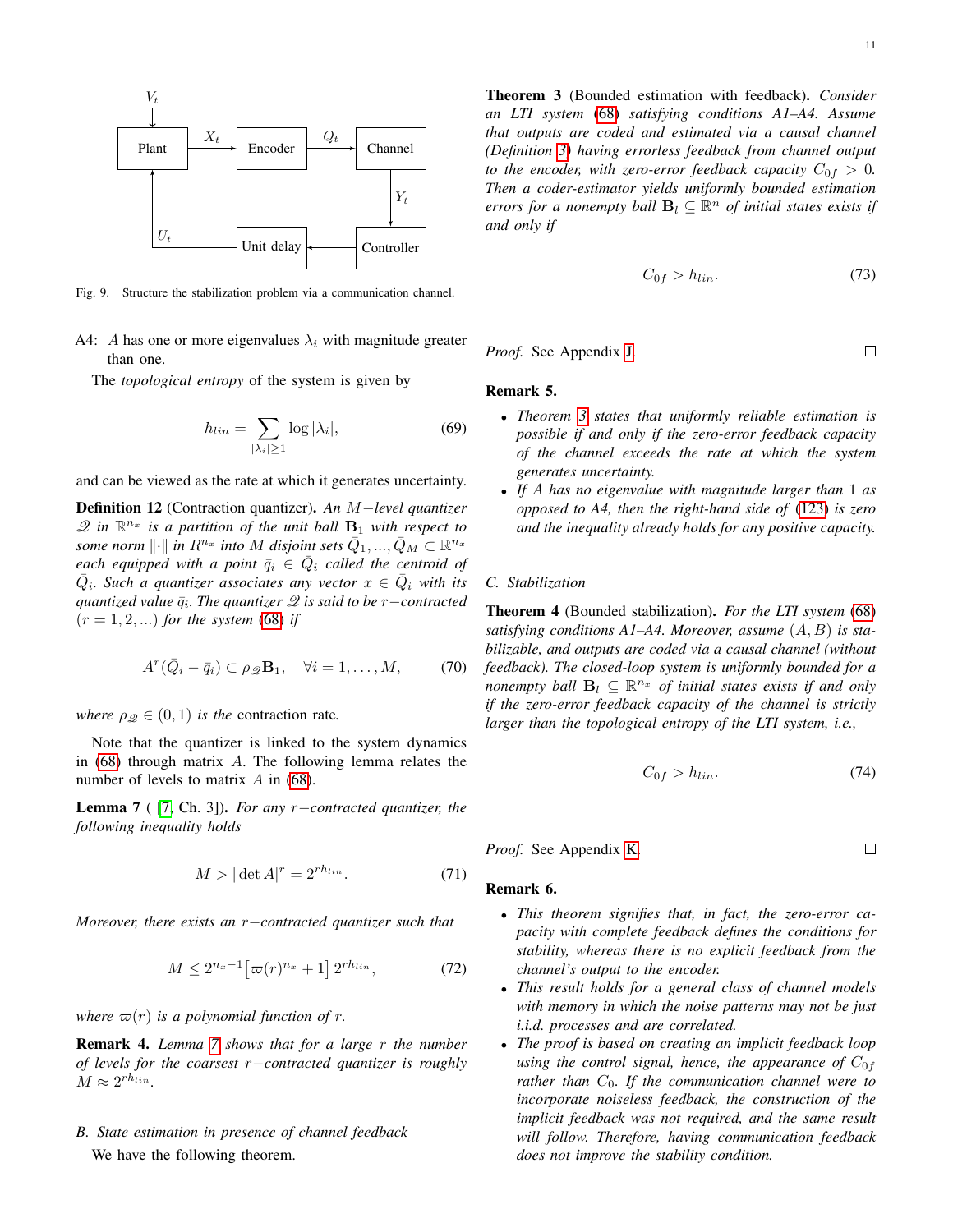

<span id="page-10-1"></span>Fig. 9. Structure the stabilization problem via a communication channel.

A4: A has one or more eigenvalues  $\lambda_i$  with magnitude greater than one.

The *topological entropy* of the system is given by

$$
h_{lin} = \sum_{|\lambda_i| \ge 1} \log |\lambda_i|,\tag{69}
$$

and can be viewed as the rate at which it generates uncertainty.

<span id="page-10-4"></span>Definition 12 (Contraction quantizer). *An* M−*level quantizer*  $\mathscr{Q}$  in  $\mathbb{R}^{n_x}$  is a partition of the unit ball  $\mathbf{B}_1$  with respect to some norm  $\lVert \cdot \rVert$  in  $R^{n_x}$  into  $M$  disjoint sets  $\bar{Q}_1,...,\bar{Q}_M \subset \mathbb{R}^{n_x}$ *each equipped with a point*  $\bar{q}_i \in \bar{Q}_i$  *called the centroid of*  $\overline{Q}_i$ . Such a quantizer associates any vector  $x \in \overline{Q}_i$  with its *quantized value*  $\bar{q}_i$ *. The quantizer*  $\mathscr Q$  *is said to be r−contracted*  $(r = 1, 2, ...)$  *for the system* [\(68\)](#page-9-3) *if* 

$$
A^r(\bar{Q}_i - \bar{q}_i) \subset \rho_{\mathscr{Q}} \mathbf{B}_1, \quad \forall i = 1, \dots, M,
$$
 (70)

*where*  $\rho_{\mathcal{Q}} \in (0, 1)$  *is the* contraction rate.

Note that the quantizer is linked to the system dynamics in [\(68\)](#page-9-3) through matrix A. The following lemma relates the number of levels to matrix  $A$  in [\(68\)](#page-9-3).

<span id="page-10-2"></span>Lemma 7 ( [\[7,](#page-20-15) Ch. 3]). *For any* r−*contracted quantizer, the following inequality holds*

$$
M > |\det A|^r = 2^{rh_{lin}}.\tag{71}
$$

*Moreover, there exists an* r−*contracted quantizer such that*

$$
M \le 2^{n_x - 1} \left[ \varpi(r)^{n_x} + 1 \right] 2^{rh_{lin}},\tag{72}
$$

*where*  $\varpi(r)$  *is a polynomial function of r.* 

Remark 4. *Lemma [7](#page-10-2) shows that for a large* r *the number of levels for the coarsest* r−*contracted quantizer is roughly*  $M \approx 2^{rh_{lin}}$ .

*B. State estimation in presence of channel feedback* We have the following theorem.

<span id="page-10-3"></span>Theorem 3 (Bounded estimation with feedback). *Consider an LTI system* [\(68\)](#page-9-3) *satisfying conditions A1–A4. Assume that outputs are coded and estimated via a causal channel (Definition [3\)](#page-2-3) having errorless feedback from channel output to the encoder, with zero-error feedback capacity*  $C_{0f} > 0$ *. Then a coder-estimator yields uniformly bounded estimation errors for a nonempty ball*  $B_l \subseteq \mathbb{R}^n$  *of initial states exists if and only if*

$$
C_{0f} > h_{lin}.\tag{73}
$$

*Proof.* See Appendix [J.](#page-14-2)

# $\Box$

 $\Box$ 

# Remark 5. *.*

- *Theorem [3](#page-10-3) states that uniformly reliable estimation is possible if and only if the zero-error feedback capacity of the channel exceeds the rate at which the system generates uncertainty.*
- *If* A *has no eigenvalue with magnitude larger than* 1 *as opposed to A4, then the right-hand side of* [\(123\)](#page-14-3) *is zero and the inequality already holds for any positive capacity.*

# *C. Stabilization*

<span id="page-10-0"></span>Theorem 4 (Bounded stabilization). *For the LTI system* [\(68\)](#page-9-3) *satisfying conditions A1–A4. Moreover, assume* (A, B) *is stabilizable, and outputs are coded via a causal channel (without feedback). The closed-loop system is uniformly bounded for a nonempty ball*  $B_l \subseteq \mathbb{R}^{n_x}$  *of initial states exists if and only if the zero-error feedback capacity of the channel is strictly larger than the topological entropy of the LTI system, i.e.,*

$$
C_{0f} > h_{lin}.\tag{74}
$$

*Proof.* See Appendix [K.](#page-17-0)

# Remark 6. *.*

- *This theorem signifies that, in fact, the zero-error capacity with complete feedback defines the conditions for stability, whereas there is no explicit feedback from the channel's output to the encoder.*
- *This result holds for a general class of channel models with memory in which the noise patterns may not be just i.i.d. processes and are correlated.*
- *The proof is based on creating an implicit feedback loop using the control signal, hence, the appearance of*  $C_{0f}$ *rather than* C0*. If the communication channel were to incorporate noiseless feedback, the construction of the implicit feedback was not required, and the same result will follow. Therefore, having communication feedback does not improve the stability condition.*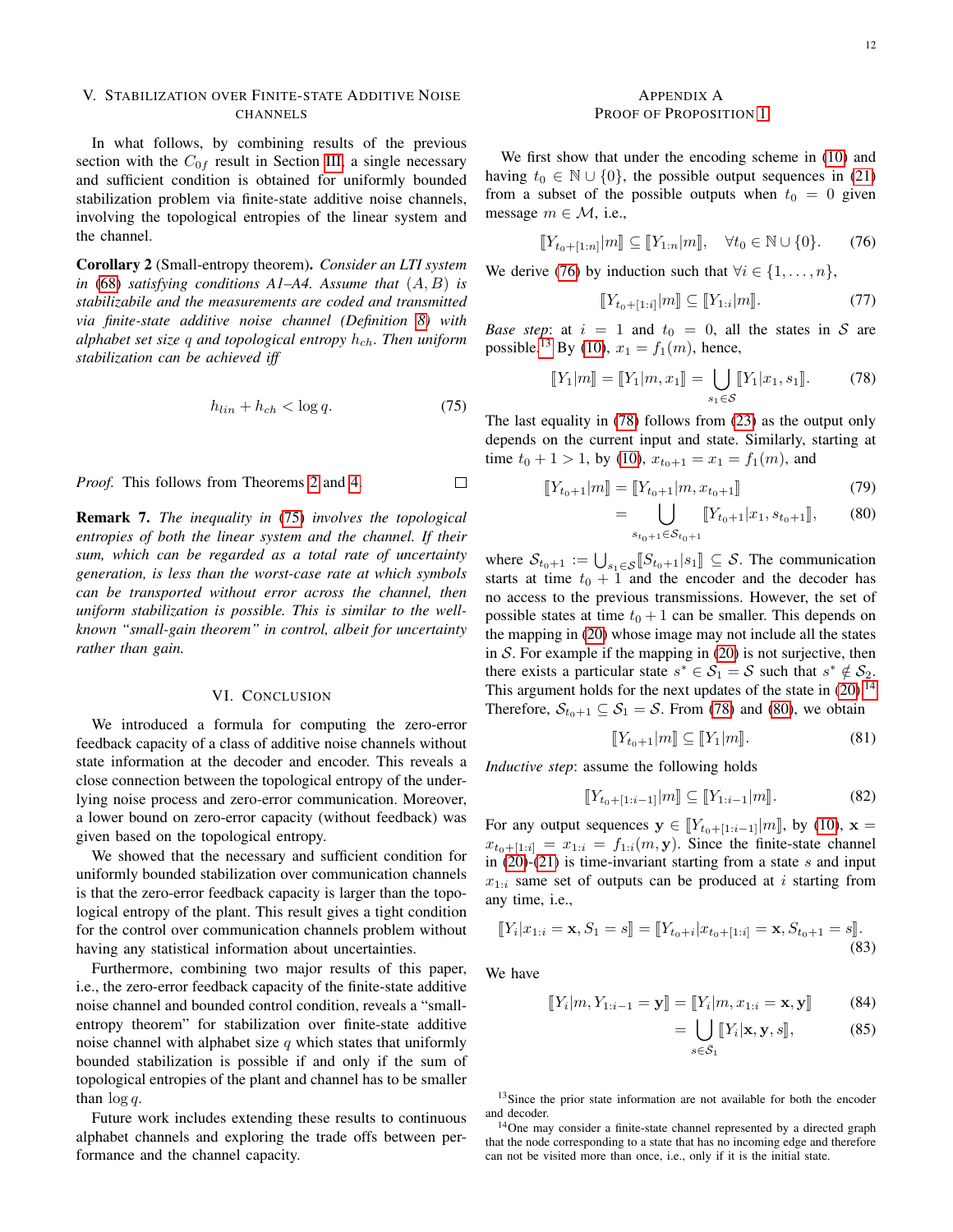# <span id="page-11-0"></span>V. STABILIZATION OVER FINITE-STATE ADDITIVE NOISE **CHANNELS**

In what follows, by combining results of the previous section with the  $C_{0f}$  result in Section [III,](#page-4-1) a single necessary and sufficient condition is obtained for uniformly bounded stabilization problem via finite-state additive noise channels, involving the topological entropies of the linear system and the channel.

Corollary 2 (Small-entropy theorem). *Consider an LTI system in* [\(68\)](#page-9-3) *satisfying conditions A1–A4. Assume that* (A, B) *is stabilizabile and the measurements are coded and transmitted via finite-state additive noise channel (Definition [8\)](#page-4-5) with alphabet set size* q and topological entropy  $h_{ch}$ . Then uniform *stabilization can be achieved iff*

$$
h_{lin} + h_{ch} < \log q. \tag{75}
$$

 $\Box$ 

*Proof.* This follows from Theorems [2](#page-5-0) and [4.](#page-10-0)

Remark 7. *The inequality in* [\(75\)](#page-11-3) *involves the topological entropies of both the linear system and the channel. If their sum, which can be regarded as a total rate of uncertainty generation, is less than the worst-case rate at which symbols can be transported without error across the channel, then uniform stabilization is possible. This is similar to the wellknown "small-gain theorem" in control, albeit for uncertainty rather than gain.*

#### VI. CONCLUSION

<span id="page-11-1"></span>We introduced a formula for computing the zero-error feedback capacity of a class of additive noise channels without state information at the decoder and encoder. This reveals a close connection between the topological entropy of the underlying noise process and zero-error communication. Moreover, a lower bound on zero-error capacity (without feedback) was given based on the topological entropy.

We showed that the necessary and sufficient condition for uniformly bounded stabilization over communication channels is that the zero-error feedback capacity is larger than the topological entropy of the plant. This result gives a tight condition for the control over communication channels problem without having any statistical information about uncertainties.

Furthermore, combining two major results of this paper, i.e., the zero-error feedback capacity of the finite-state additive noise channel and bounded control condition, reveals a "smallentropy theorem" for stabilization over finite-state additive noise channel with alphabet size  $q$  which states that uniformly bounded stabilization is possible if and only if the sum of topological entropies of the plant and channel has to be smaller than  $\log q$ .

Future work includes extending these results to continuous alphabet channels and exploring the trade offs between performance and the channel capacity.

# <span id="page-11-2"></span>APPENDIX A PROOF OF PROPOSITION [1](#page-4-0)

We first show that under the encoding scheme in [\(10\)](#page-3-11) and having  $t_0 \in \mathbb{N} \cup \{0\}$ , the possible output sequences in [\(21\)](#page-3-6) from a subset of the possible outputs when  $t_0 = 0$  given message  $m \in \mathcal{M}$ , i.e.,

$$
[[Y_{t_0+[1:n]}|m]] \subseteq [[Y_{1:n}|m]], \quad \forall t_0 \in \mathbb{N} \cup \{0\}.
$$
 (76)

We derive [\(76\)](#page-11-4) by induction such that  $\forall i \in \{1, \ldots, n\},\$ 

<span id="page-11-6"></span><span id="page-11-4"></span>
$$
[Y_{t_0+[1:i]}|m] \subseteq [Y_{1:i}|m]. \tag{77}
$$

*Base step*: at  $i = 1$  and  $t_0 = 0$ , all the states in S are possible.<sup>[13](#page-11-5)</sup> By [\(10\)](#page-3-11),  $x_1 = f_1(m)$ , hence,

$$
[\![Y_1|m]\!] = [\![Y_1|m, x_1]\!] = \bigcup_{s_1 \in \mathcal{S}} [\![Y_1|x_1, s_1]\!].
$$
 (78)

<span id="page-11-3"></span>The last equality in [\(78\)](#page-11-6) follows from [\(23\)](#page-3-12) as the output only depends on the current input and state. Similarly, starting at time  $t_0 + 1 > 1$ , by [\(10\)](#page-3-11),  $x_{t_0+1} = x_1 = f_1(m)$ , and

$$
\llbracket Y_{t_0+1} | m \rrbracket = \llbracket Y_{t_0+1} | m, x_{t_0+1} \rrbracket \tag{79}
$$

<span id="page-11-8"></span>
$$
= \bigcup_{s_{t_0+1} \in S_{t_0+1}} [[Y_{t_0+1} | x_1, s_{t_0+1}]], \qquad (80)
$$

where  $S_{t_0+1} := \bigcup_{s_1 \in S} [S_{t_0+1}|s_1] \subseteq S$ . The communication<br>starts at time  $t_0 + 1$  and the encoder and the decoder has starts at time  $t_0 + 1$  and the encoder and the decoder has no access to the previous transmissions. However, the set of possible states at time  $t_0 + 1$  can be smaller. This depends on the mapping in [\(20\)](#page-3-5) whose image may not include all the states in  $S$ . For example if the mapping in  $(20)$  is not surjective, then there exists a particular state  $s^* \in S_1 = S$  such that  $s^* \notin S_2$ . This argument holds for the next updates of the state in  $(20)^{14}$  $(20)^{14}$  $(20)^{14}$  $(20)^{14}$ Therefore,  $S_{t_0+1} \subseteq S_1 = S$ . From [\(78\)](#page-11-6) and [\(80\)](#page-11-8), we obtain

<span id="page-11-10"></span>
$$
[Y_{t_0+1}|m] \subseteq [Y_1|m]. \tag{81}
$$

*Inductive step*: assume the following holds

$$
[[Y_{t_0+[1:i-1]}|m]] \subseteq [[Y_{1:i-1}|m]]. \tag{82}
$$

For any output sequences  $y \in [Y_{t_0+[1:i-1]}|m]$ , by [\(10\)](#page-3-11),  $x =$  $x_{t_0+[1:i]} = x_{1:i} = f_{1:i}(m, y)$ . Since the finite-state channel in  $(20)-(21)$  $(20)-(21)$  $(20)-(21)$  is time-invariant starting from a state s and input  $x_{1:i}$  same set of outputs can be produced at *i* starting from any time, i.e.,

$$
[[Y_i|x_{1:i}=\mathbf{x}, S_1=s]] = [[Y_{t_0+i}|x_{t_0+[1:i]}=\mathbf{x}, S_{t_0+1}=s]].
$$
\n(83)

We have

$$
[[Y_i|m, Y_{1:i-1} = \mathbf{y}]] = [[Y_i|m, x_{1:i} = \mathbf{x}, \mathbf{y}]] \tag{84}
$$

<span id="page-11-11"></span><span id="page-11-9"></span>
$$
= \bigcup_{s \in \bar{\mathcal{S}}_1} \llbracket Y_i | \mathbf{x}, \mathbf{y}, s \rrbracket, \tag{85}
$$

<span id="page-11-5"></span><sup>13</sup>Since the prior state information are not available for both the encoder and decoder.

<span id="page-11-7"></span><sup>14</sup>One may consider a finite-state channel represented by a directed graph that the node corresponding to a state that has no incoming edge and therefore can not be visited more than once, i.e., only if it is the initial state.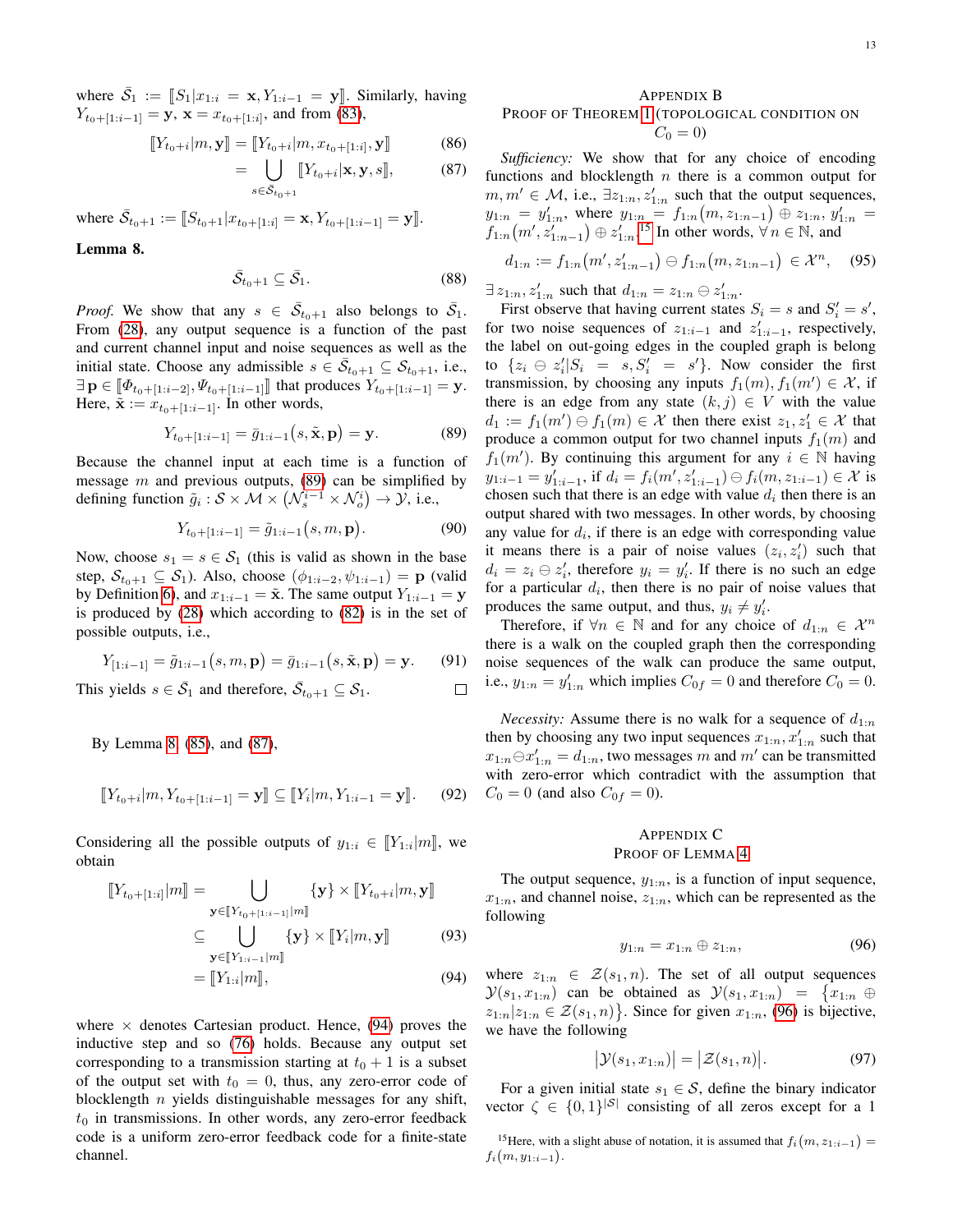where  $\bar{S}_1 := [S_1 | x_{1:i} = \mathbf{x}, Y_{1:i-1} = \mathbf{y}]$ . Similarly, having  $Y_{t_0+[1:i-1]} = \mathbf{y}, \mathbf{x} = x_{t_0+[1:i]},$  and from [\(83\)](#page-11-9),

$$
\llbracket Y_{t_0+i} | m, \mathbf{y} \rrbracket = \llbracket Y_{t_0+i} | m, x_{t_0+[1:i]}, \mathbf{y} \rrbracket \tag{86}
$$

$$
= \bigcup_{s \in \mathcal{S}_{t_0+1}} \llbracket Y_{t_0+i} | \mathbf{x}, \mathbf{y}, s \rrbracket, \tag{87}
$$

where  $\bar{S}_{t_0+1} := [S_{t_0+1}|x_{t_0+[1:i]} = \mathbf{x}, Y_{t_0+[1:i-1]} = \mathbf{y}].$ 

<span id="page-12-5"></span>Lemma 8.

$$
\bar{\mathcal{S}}_{t_0+1} \subseteq \bar{\mathcal{S}}_1. \tag{88}
$$

*Proof.* We show that any  $s \in \overline{S}_{t_0+1}$  also belongs to  $\overline{S}_1$ . From [\(28\)](#page-4-7), any output sequence is a function of the past and current channel input and noise sequences as well as the initial state. Choose any admissible  $s \in \overline{S}_{t_0+1} \subseteq S_{t_0+1}$ , i.e.,  $\exists \mathbf{p} \in [\![\Phi_{t_0+ [1:i-2]}, \Psi_{t_0+ [1:i-1]}]\!]$  that produces  $Y_{t_0+ [1:i-1]} = \mathbf{y}$ . Here,  $\tilde{\mathbf{x}} := x_{t_0+1:i-1}$ . In other words,

$$
Y_{t_0+[1:i-1]} = \bar{g}_{1:i-1}(s,\tilde{\mathbf{x}},\mathbf{p}) = \mathbf{y}.
$$
 (89)

Because the channel input at each time is a function of message  $m$  and previous outputs, [\(89\)](#page-12-4) can be simplified by defining function  $\tilde{g}_i : \mathcal{S} \times \mathcal{M} \times \left(\mathcal{N}_s^{i-1} \times \mathcal{N}_o^i\right) \to \mathcal{Y}$ , i.e.,

$$
Y_{t_0+[1:i-1]} = \tilde{g}_{1:i-1}(s,m,\mathbf{p}).\tag{90}
$$

 $\Box$ 

Now, choose  $s_1 = s \in S_1$  (this is valid as shown in the base step,  $S_{t_0+1} \subseteq S_1$ ). Also, choose  $(\phi_{1:i-2}, \psi_{1:i-1}) = \mathbf{p}$  (valid by Definition [6\)](#page-3-7), and  $x_{1:i-1} = \tilde{x}$ . The same output  $Y_{1:i-1} = y$ is produced by [\(28\)](#page-4-7) which according to [\(82\)](#page-11-10) is in the set of possible outputs, i.e.,

$$
Y_{[1:i-1]} = \tilde{g}_{1:i-1}(s, m, \mathbf{p}) = \bar{g}_{1:i-1}(s, \tilde{\mathbf{x}}, \mathbf{p}) = \mathbf{y}.
$$
 (91)

This yields  $s \in \overline{S}_1$  and therefore,  $\overline{S}_{t_0+1} \subseteq S_1$ .

By Lemma [8,](#page-12-5) [\(85\)](#page-11-11), and [\(87\)](#page-12-6),

$$
[[Y_{t_0+i}|m, Y_{t_0+[1:i-1]} = \mathbf{y}]] \subseteq [[Y_i|m, Y_{1:i-1} = \mathbf{y}]]. \tag{92}
$$

Considering all the possible outputs of  $y_{1:i} \in [Y_{1:i}|m]$ , we obtain obtain

$$
\llbracket Y_{t_0 + [1:i]} | m \rrbracket = \bigcup_{\mathbf{y} \in \llbracket Y_{t_0 + [1:i-1]} | m \rrbracket} \{ \mathbf{y} \} \times \llbracket Y_{t_0 + i} | m, \mathbf{y} \rrbracket
$$
\n
$$
\subseteq \bigcup_{\mathbf{y} \in \llbracket Y_{1:i-1} | m \rrbracket} \{ \mathbf{y} \} \times \llbracket Y_i | m, \mathbf{y} \rrbracket \tag{93}
$$
\n
$$
= \llbracket Y_{1:i} | m \rrbracket, \tag{94}
$$

where  $\times$  denotes Cartesian product. Hence, [\(94\)](#page-12-7) proves the inductive step and so [\(76\)](#page-11-4) holds. Because any output set corresponding to a transmission starting at  $t_0 + 1$  is a subset of the output set with  $t_0 = 0$ , thus, any zero-error code of blocklength  $n$  yields distinguishable messages for any shift,  $t_0$  in transmissions. In other words, any zero-error feedback code is a uniform zero-error feedback code for a finite-state channel.

# <span id="page-12-0"></span>APPENDIX B PROOF OF THEOREM [1](#page-5-1) (TOPOLOGICAL CONDITION ON  $C_0 = 0$

<span id="page-12-6"></span>*Sufficiency:* We show that for any choice of encoding functions and blocklength  $n$  there is a common output for  $m, m' \in \mathcal{M}$ , i.e.,  $\exists z_{1:n}, z'_{1:n}$  such that the output sequences,  $y_{1:n} = y'_{1:n}$ , where  $y_{1:n} = f_{1:n}(m, z_{1:n-1}) \oplus z_{1:n}$ ,  $y'_{1:n} =$  $f_{1:n}(m', z'_{1:n-1}) \oplus z'_{1:n}$ <sup>[15](#page-12-8)</sup> In other words,  $\forall n \in \mathbb{N}$ , and

$$
d_{1:n} := f_{1:n}(m', z'_{1:n-1}) \ominus f_{1:n}(m, z_{1:n-1}) \in \mathcal{X}^n, \quad (95)
$$

 $\exists z_{1:n}, z'_{1:n}$  such that  $d_{1:n} = z_{1:n} \ominus z'_{1:n}$ .

<span id="page-12-4"></span>First observe that having current states  $S_i = s$  and  $S'_i = s'$ , for two noise sequences of  $z_{1:i-1}$  and  $z'_{1:i-1}$ , respectively, the label on out-going edges in the coupled graph is belong to  $\{z_i \oplus z'_i | S_i = s, S'_i = s'\}$ . Now consider the first transmission, by choosing any inputs  $f_1(m), f_1(m') \in \mathcal{X}$ , if there is an edge from any state  $(k, j) \in V$  with the value  $d_1 := f_1(m') \ominus f_1(m) \in \mathcal{X}$  then there exist  $z_1, z'_1 \in \mathcal{X}$  that produce a common output for two channel inputs  $f_1(m)$  and  $f_1(m')$ . By continuing this argument for any  $i \in \mathbb{N}$  having  $y_{1:i-1} = y'_{1:i-1}$ , if  $d_i = f_i(m', z'_{1:i-1}) \ominus f_i(m, z_{1:i-1}) \in \mathcal{X}$  is chosen such that there is an edge with value  $d_i$  then there is an output shared with two messages. In other words, by choosing any value for  $d_i$ , if there is an edge with corresponding value it means there is a pair of noise values  $(z_i, z'_i)$  such that  $d_i = z_i \ominus z'_i$ , therefore  $y_i = y'_i$ . If there is no such an edge for a particular  $d_i$ , then there is no pair of noise values that produces the same output, and thus,  $y_i \neq y'_i$ .

Therefore, if  $\forall n \in \mathbb{N}$  and for any choice of  $d_{1:n} \in \mathcal{X}^n$ there is a walk on the coupled graph then the corresponding noise sequences of the walk can produce the same output, i.e.,  $y_{1:n} = y'_{1:n}$  which implies  $C_{0f} = 0$  and therefore  $C_0 = 0$ .

*Necessity:* Assume there is no walk for a sequence of  $d_{1:n}$ then by choosing any two input sequences  $x_{1:n}, x'_{1:n}$  such that  $x_{1:n} \ominus x'_{1:n} = d_{1:n}$ , two messages m and m' can be transmitted with zero-error which contradict with the assumption that  $C_0 = 0$  (and also  $C_{0f} = 0$ ).

# <span id="page-12-1"></span>APPENDIX C PROOF OF LEMMA [4](#page-5-7)

The output sequence,  $y_{1:n}$ , is a function of input sequence,  $x_{1:n}$ , and channel noise,  $z_{1:n}$ , which can be represented as the following

<span id="page-12-3"></span><span id="page-12-2"></span>
$$
y_{1:n} = x_{1:n} \oplus z_{1:n}, \tag{96}
$$

<span id="page-12-7"></span>where  $z_{1:n} \in \mathcal{Z}(s_1,n)$ . The set of all output sequences  $\mathcal{Y}(s_1, x_{1:n})$  can be obtained as  $\mathcal{Y}(s_1, x_{1:n}) = \{x_{1:n} \oplus$  $z_{1:n}|z_{1:n} \in \mathcal{Z}(s_1,n)$ . Since for given  $x_{1:n}$ , [\(96\)](#page-12-3) is bijective, we have the following

$$
\big|\mathcal{Y}(s_1, x_{1:n})\big| = \big|\mathcal{Z}(s_1, n)\big|.\tag{97}
$$

For a given initial state  $s_1 \in S$ , define the binary indicator vector  $\zeta \in \{0,1\}^{|\mathcal{S}|}$  consisting of all zeros except for a 1

<span id="page-12-8"></span><sup>15</sup>Here, with a slight abuse of notation, it is assumed that  $f_i(m, z_{1:i-1}) =$  $f_i(m, y_{1:i-1}).$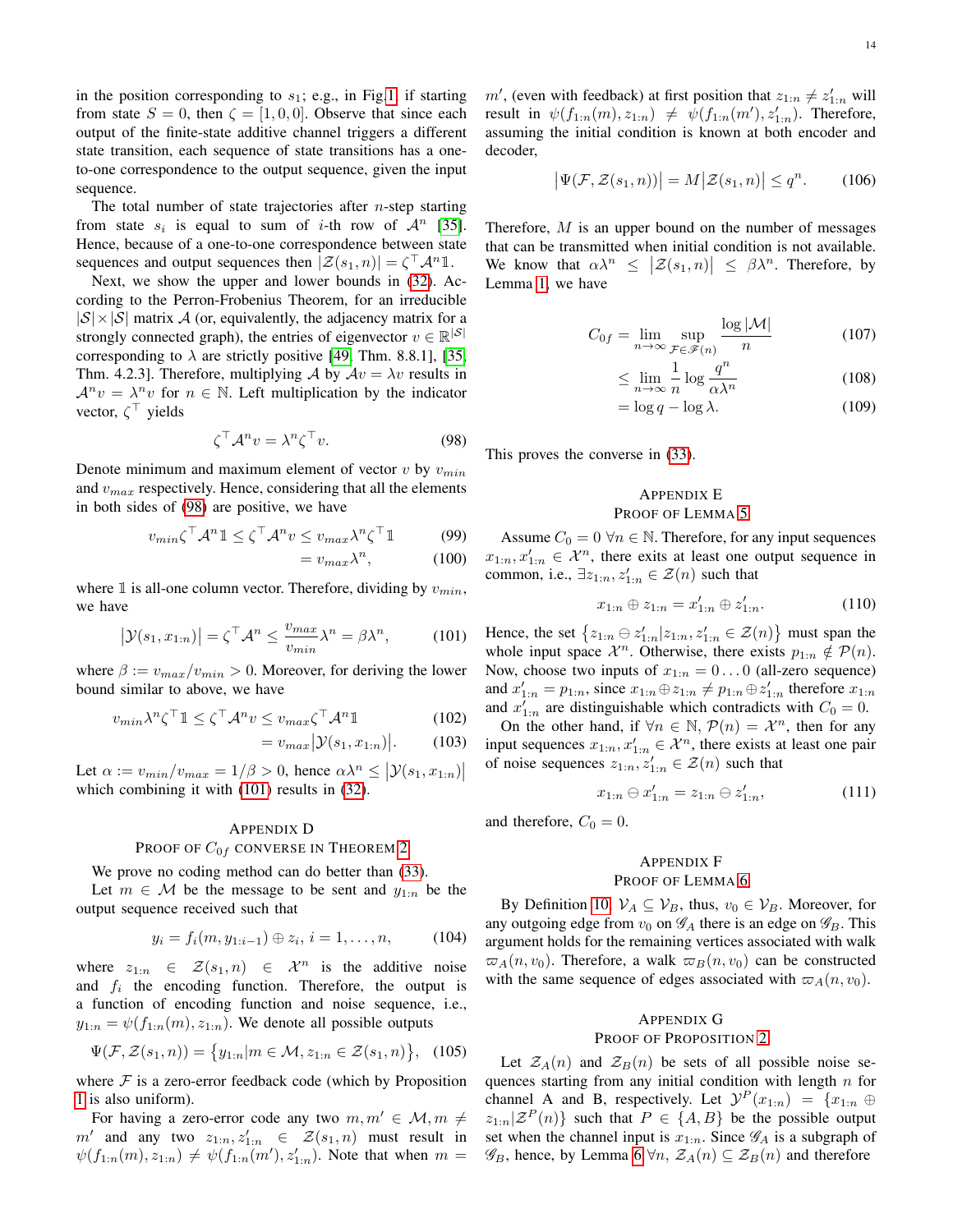in the position corresponding to  $s_1$ ; e.g., in Fig[.1,](#page-4-4) if starting from state  $S = 0$ , then  $\zeta = [1, 0, 0]$ . Observe that since each output of the finite-state additive channel triggers a different state transition, each sequence of state transitions has a oneto-one correspondence to the output sequence, given the input sequence.

The total number of state trajectories after  $n$ -step starting from state  $s_i$  is equal to sum of i-th row of  $\mathcal{A}^n$  [\[35\]](#page-20-30). Hence, because of a one-to-one correspondence between state sequences and output sequences then  $|\mathcal{Z}(s_1, n)| = \zeta^{\top} \mathcal{A}^n \mathbb{1}$ .

Next, we show the upper and lower bounds in [\(32\)](#page-5-10). According to the Perron-Frobenius Theorem, for an irreducible  $|S| \times |S|$  matrix A (or, equivalently, the adjacency matrix for a strongly connected graph), the entries of eigenvector  $v \in \mathbb{R}^{|S|}$ corresponding to  $\lambda$  are strictly positive [\[49,](#page-20-44) Thm. 8.8.1], [\[35,](#page-20-30) Thm. 4.2.3]. Therefore, multiplying A by  $Av = \lambda v$  results in  $\mathcal{A}^n v = \lambda^n v$  for  $n \in \mathbb{N}$ . Left multiplication by the indicator vector,  $\zeta^{\top}$  yields

$$
\zeta^{\top} \mathcal{A}^n v = \lambda^n \zeta^{\top} v. \tag{98}
$$

Denote minimum and maximum element of vector  $v$  by  $v_{min}$ and  $v_{max}$  respectively. Hence, considering that all the elements in both sides of [\(98\)](#page-13-4) are positive, we have

$$
v_{min}\zeta^{\top} \mathcal{A}^n \mathbb{1} \le \zeta^{\top} \mathcal{A}^n v \le v_{max} \lambda^n \zeta^{\top} \mathbb{1}
$$
(99)  
=  $v_{max} \lambda^n$ , (100)

where  $\mathbbm{1}$  is all-one column vector. Therefore, dividing by  $v_{min}$ , we have

$$
\left|\mathcal{Y}(s_1, x_{1:n})\right| = \zeta^{\top} \mathcal{A}^n \le \frac{v_{max}}{v_{min}} \lambda^n = \beta \lambda^n, \quad (101)
$$

where  $\beta := v_{max}/v_{min} > 0$ . Moreover, for deriving the lower bound similar to above, we have

$$
v_{min} \lambda^n \zeta^\top \mathbb{1} \le \zeta^\top \mathcal{A}^n v \le v_{max} \zeta^\top \mathcal{A}^n \mathbb{1}
$$
 (102)

$$
= v_{max} |\mathcal{Y}(s_1, x_{1:n})|.
$$
 (103)

Let  $\alpha := v_{min}/v_{max} = 1/\beta > 0$ , hence  $\alpha \lambda^n \leq |\mathcal{Y}(s_1, x_{1:n})|$ which combining it with  $(101)$  results in  $(32)$ .

# <span id="page-13-0"></span>APPENDIX D

# PROOF OF  $C_{0f}$  CONVERSE IN THEOREM [2](#page-5-0)

We prove no coding method can do better than  $(33)$ .

Let  $m \in \mathcal{M}$  be the message to be sent and  $y_{1:n}$  be the output sequence received such that

$$
y_i = f_i(m, y_{1:i-1}) \oplus z_i, \, i = 1, \dots, n, \tag{104}
$$

where  $z_{1:n} \in \mathcal{Z}(s_1,n) \in \mathcal{X}^n$  is the additive noise and  $f_i$  the encoding function. Therefore, the output is a function of encoding function and noise sequence, i.e.,  $y_{1:n} = \psi(f_{1:n}(m), z_{1:n})$ . We denote all possible outputs

$$
\Psi(\mathcal{F}, \mathcal{Z}(s_1, n)) = \{y_{1:n} | m \in \mathcal{M}, z_{1:n} \in \mathcal{Z}(s_1, n)\}, \quad (105)
$$

where  $F$  is a zero-error feedback code (which by Proposition [1](#page-4-0) is also uniform).

For having a zero-error code any two  $m, m' \in \mathcal{M}, m \neq$  $m'$  and any two  $z_{1:n}, z'_{1:n} \in \mathcal{Z}(s_1, n)$  must result in  $\psi(f_{1:n}(m), z_{1:n}) \neq \psi(f_{1:n}(m'), z'_{1:n})$ . Note that when  $m =$ 

 $m'$ , (even with feedback) at first position that  $z_{1:n} \neq z'_{1:n}$  will result in  $\psi(f_{1:n}(m), z_{1:n}) \neq \psi(f_{1:n}(m'), z'_{1:n})$ . Therefore, assuming the initial condition is known at both encoder and decoder,

$$
\left|\Psi(\mathcal{F},\mathcal{Z}(s_1,n))\right| = M\left|\mathcal{Z}(s_1,n)\right| \le q^n. \tag{106}
$$

Therefore,  $M$  is an upper bound on the number of messages that can be transmitted when initial condition is not available. We know that  $\alpha \lambda^n \leq |\mathcal{Z}(s_1, n)| \leq \beta \lambda^n$ . Therefore, by Lemma [1,](#page-3-3) we have

$$
C_{0f} = \lim_{n \to \infty} \sup_{\mathcal{F} \in \mathcal{F}(n)} \frac{\log |\mathcal{M}|}{n}
$$
 (107)

$$
\leq \lim_{n \to \infty} \frac{1}{n} \log \frac{q^n}{\alpha \lambda^n} \tag{108}
$$

$$
= \log q - \log \lambda. \tag{109}
$$

<span id="page-13-4"></span>This proves the converse in [\(33\)](#page-5-6).

# <span id="page-13-1"></span>APPENDIX E PROOF OF LEMMA [5](#page-6-4)

Assume  $C_0 = 0 \ \forall n \in \mathbb{N}$ . Therefore, for any input sequences  $x_{1:n}, x'_{1:n} \in \mathcal{X}^n$ , there exits at least one output sequence in common, i.e.,  $\exists z_{1:n}, z'_{1:n} \in \mathcal{Z}(n)$  such that

$$
x_{1:n} \oplus z_{1:n} = x'_{1:n} \oplus z'_{1:n}.
$$
 (110)

<span id="page-13-5"></span>Hence, the set  $\{z_{1:n} \ominus z'_{1:n} | z_{1:n}, z'_{1:n} \in \mathcal{Z}(n)\}\$  must span the whole input space  $\mathcal{X}^n$ . Otherwise, there exists  $p_{1:n} \notin \mathcal{P}(n)$ . Now, choose two inputs of  $x_{1:n} = 0 \dots 0$  (all-zero sequence) and  $x'_{1:n} = p_{1:n}$ , since  $x_{1:n} \oplus z_{1:n} \neq p_{1:n} \oplus z'_{1:n}$  therefore  $x_{1:n}$ and  $x'_{1:n}$  are distinguishable which contradicts with  $C_0 = 0$ .

On the other hand, if  $\forall n \in \mathbb{N}$ ,  $\mathcal{P}(n) = \mathcal{X}^n$ , then for any input sequences  $x_{1:n}, x'_{1:n} \in \mathcal{X}^n$ , there exists at least one pair of noise sequences  $z_{1:n}, z'_{1:n} \in \mathcal{Z}(n)$  such that

$$
x_{1:n} \ominus x'_{1:n} = z_{1:n} \ominus z'_{1:n}, \tag{111}
$$

and therefore,  $C_0 = 0$ .

# <span id="page-13-2"></span>APPENDIX F PROOF OF LEMMA [6](#page-6-5)

By Definition [10,](#page-6-6)  $V_A \subseteq V_B$ , thus,  $v_0 \in V_B$ . Moreover, for any outgoing edge from  $v_0$  on  $\mathscr{G}_A$  there is an edge on  $\mathscr{G}_B$ . This argument holds for the remaining vertices associated with walk  $\varpi_A(n, v_0)$ . Therefore, a walk  $\varpi_B(n, v_0)$  can be constructed with the same sequence of edges associated with  $\varpi_A(n, v_0)$ .

# <span id="page-13-3"></span>APPENDIX G

# PROOF OF PROPOSITION [2](#page-6-3)

Let  $\mathcal{Z}_A(n)$  and  $\mathcal{Z}_B(n)$  be sets of all possible noise sequences starting from any initial condition with length  $n$  for channel A and B, respectively. Let  $\mathcal{Y}^P(x_{1:n}) = \{x_{1:n} \oplus$  $z_{1:n}|\mathcal{Z}^P(n)\}\$  such that  $P\in\{A,B\}\$  be the possible output set when the channel input is  $x_{1:n}$ . Since  $\mathscr{G}_A$  is a subgraph of  $\mathscr{G}_B$ , hence, by Lemma [6](#page-6-5)  $\forall n, \mathcal{Z}_A(n) \subseteq \mathcal{Z}_B(n)$  and therefore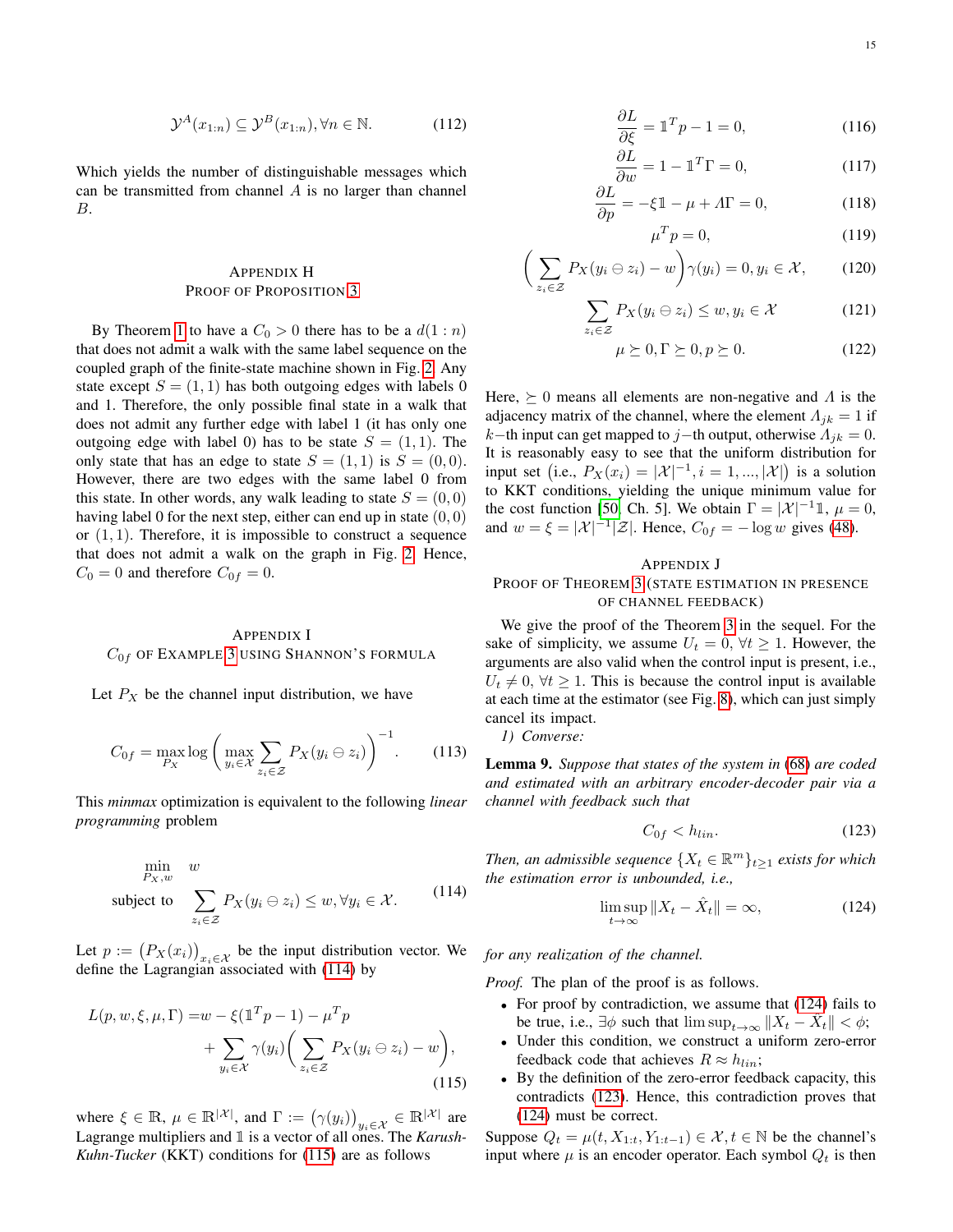Which yields the number of distinguishable messages which can be transmitted from channel  $A$  is no larger than channel B.

# <span id="page-14-0"></span>APPENDIX H PROOF OF PROPOSITION [3](#page-7-5)

By Theorem [1](#page-5-1) to have a  $C_0 > 0$  there has to be a  $d(1:n)$ that does not admit a walk with the same label sequence on the coupled graph of the finite-state machine shown in Fig. [2.](#page-5-11) Any state except  $S = (1, 1)$  has both outgoing edges with labels 0 and 1. Therefore, the only possible final state in a walk that does not admit any further edge with label 1 (it has only one outgoing edge with label 0) has to be state  $S = (1, 1)$ . The only state that has an edge to state  $S = (1, 1)$  is  $S = (0, 0)$ . However, there are two edges with the same label 0 from this state. In other words, any walk leading to state  $S = (0, 0)$ having label 0 for the next step, either can end up in state  $(0, 0)$ or  $(1, 1)$ . Therefore, it is impossible to construct a sequence that does not admit a walk on the graph in Fig. [2.](#page-5-11) Hence,  $C_0 = 0$  and therefore  $C_{0f} = 0$ .

# <span id="page-14-1"></span>APPENDIX I  $C_{0f}$  OF EXAMPLE [3](#page-7-3) USING SHANNON'S FORMULA

Let  $P_X$  be the channel input distribution, we have

$$
C_{0f} = \max_{P_X} \log \left( \max_{y_i \in \mathcal{X}} \sum_{z_i \in \mathcal{Z}} P_X(y_i \ominus z_i) \right)^{-1}.
$$
 (113)

This *minmax* optimization is equivalent to the following *linear programming* problem

$$
\min_{P_X, w} w
$$
\nsubject to\n
$$
\sum_{z_i \in \mathcal{Z}} P_X(y_i \ominus z_i) \leq w, \forall y_i \in \mathcal{X}.
$$
\n(114)

Let  $p := (P_X(x_i))_{x_i \in \mathcal{X}}$  be the input distribution vector. We define the Lagrangian associated with [\(114\)](#page-14-4) by

$$
L(p, w, \xi, \mu, \Gamma) = w - \xi (\mathbb{1}^T p - 1) - \mu^T p
$$
  
+ 
$$
\sum_{y_i \in \mathcal{X}} \gamma(y_i) \bigg( \sum_{z_i \in \mathcal{Z}} P_X(y_i \ominus z_i) - w \bigg),
$$
  
(115)

where  $\xi \in \mathbb{R}$ ,  $\mu \in \mathbb{R}^{|\mathcal{X}|}$ , and  $\Gamma := (\gamma(y_i))_{y_i \in \mathcal{X}} \in \mathbb{R}^{|\mathcal{X}|}$  are Lagrange multipliers and 1 is a vector of all ones. The *Karush-Kuhn-Tucker* (KKT) conditions for [\(115\)](#page-14-5) are as follows

$$
\frac{\partial L}{\partial \xi} = \mathbb{1}^T p - 1 = 0,\tag{116}
$$

$$
\frac{\partial L}{\partial w} = 1 - \mathbb{1}^T \Gamma = 0,\tag{117}
$$

$$
\frac{\partial L}{\partial p} = -\xi \mathbb{1} - \mu + \Lambda \Gamma = 0,\tag{118}
$$

$$
\mu^T p = 0,\tag{119}
$$

$$
\left(\sum_{z_i \in \mathcal{Z}} P_X(y_i \ominus z_i) - w\right) \gamma(y_i) = 0, y_i \in \mathcal{X}, \qquad (120)
$$

$$
\sum_{z_i \in \mathcal{Z}} P_X(y_i \ominus z_i) \le w, y_i \in \mathcal{X}
$$
 (121)

$$
\mu \succeq 0, \Gamma \succeq 0, p \succeq 0. \tag{122}
$$

Here,  $\succeq 0$  means all elements are non-negative and  $\Lambda$  is the adjacency matrix of the channel, where the element  $\Lambda_{jk} = 1$  if k−th input can get mapped to j−th output, otherwise  $\Lambda_{jk} = 0$ . It is reasonably easy to see that the uniform distribution for input set (i.e.,  $P_X(x_i) = |\mathcal{X}|^{-1}, i = 1, ..., |\mathcal{X}|$ ) is a solution to KKT conditions, yielding the unique minimum value for the cost function [\[50,](#page-20-45) Ch. 5]. We obtain  $\Gamma = |\mathcal{X}|^{-1} \mathbb{1}, \mu = 0$ , and  $w = \xi = |\mathcal{X}|^{-1} |\mathcal{Z}|$ . Hence,  $C_{0f} = -\log w$  gives [\(48\)](#page-7-8).

# <span id="page-14-2"></span>APPENDIX J

# PROOF OF THEOREM [3](#page-10-3) (STATE ESTIMATION IN PRESENCE OF CHANNEL FEEDBACK)

We give the proof of the Theorem [3](#page-10-3) in the sequel. For the sake of simplicity, we assume  $U_t = 0$ ,  $\forall t \geq 1$ . However, the arguments are also valid when the control input is present, i.e.,  $U_t \neq 0$ ,  $\forall t \geq 1$ . This is because the control input is available at each time at the estimator (see Fig. [8\)](#page-9-2), which can just simply cancel its impact.

*1) Converse:*

Lemma 9. *Suppose that states of the system in* [\(68\)](#page-9-3) *are coded and estimated with an arbitrary encoder-decoder pair via a channel with feedback such that*

<span id="page-14-6"></span><span id="page-14-3"></span>
$$
C_{0f} < h_{lin}.\tag{123}
$$

<span id="page-14-4"></span>*Then, an admissible sequence*  $\{X_t \in \mathbb{R}^m\}_{t\geq 1}$  *exists for which the estimation error is unbounded, i.e.,*

$$
\limsup_{t \to \infty} \|X_t - \hat{X}_t\| = \infty, \tag{124}
$$

*for any realization of the channel.*

*Proof.* The plan of the proof is as follows.

- For proof by contradiction, we assume that [\(124\)](#page-14-6) fails to be true, i.e.,  $\exists \phi$  such that  $\limsup_{t \to \infty} ||X_t - \hat{X}_t|| < \phi;$
- Under this condition, we construct a uniform zero-error feedback code that achieves  $R \approx h_{lin}$ ;
- <span id="page-14-5"></span>• By the definition of the zero-error feedback capacity, this contradicts [\(123\)](#page-14-3). Hence, this contradiction proves that [\(124\)](#page-14-6) must be correct.

Suppose  $Q_t = \mu(t, X_{1:t}, Y_{1:t-1}) \in \mathcal{X}, t \in \mathbb{N}$  be the channel's input where  $\mu$  is an encoder operator. Each symbol  $Q_t$  is then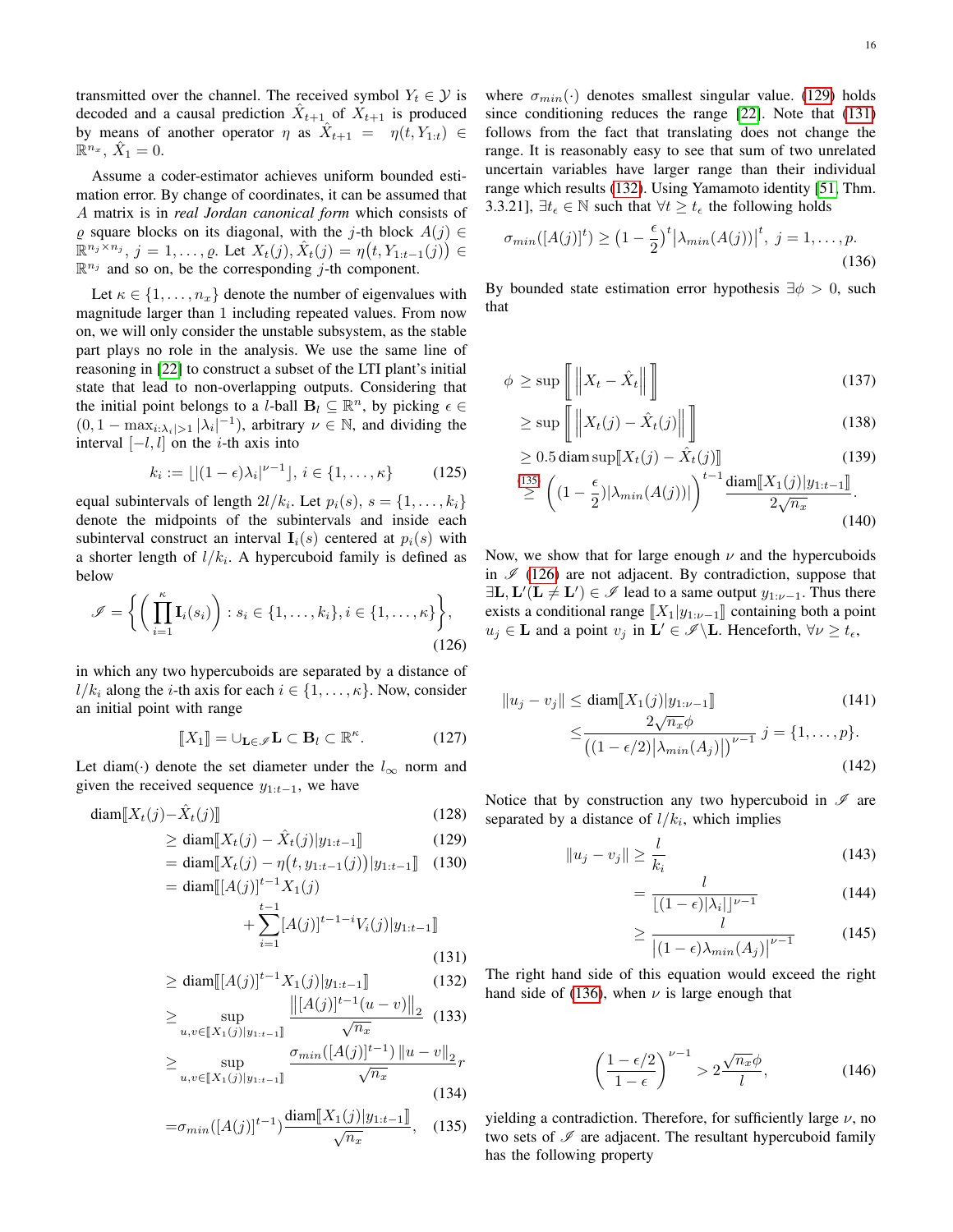transmitted over the channel. The received symbol  $Y_t \in \mathcal{Y}$  is decoded and a causal prediction  $\hat{X}_{t+1}$  of  $X_{t+1}$  is produced by means of another operator  $\eta$  as  $\hat{X}_{t+1} = \eta(t, Y_{1:t}) \in$  $\mathbb{R}^{n_x}$ ,  $\hat{X}_1 = 0$ .

Assume a coder-estimator achieves uniform bounded estimation error. By change of coordinates, it can be assumed that A matrix is in *real Jordan canonical form* which consists of  $\varrho$  square blocks on its diagonal, with the j-th block  $A(j) \in$  $\mathbb{R}^{n_j \times n_j}, j = 1, \ldots, \varrho$ . Let  $X_t(j), \hat{X}_t(j) = \eta(t, Y_{1:t-1}(j)) \in$  $\mathbb{R}^{n_j}$  and so on, be the corresponding j-th component.

Let  $\kappa \in \{1, \ldots, n_x\}$  denote the number of eigenvalues with magnitude larger than 1 including repeated values. From now on, we will only consider the unstable subsystem, as the stable part plays no role in the analysis. We use the same line of reasoning in [\[22\]](#page-20-17) to construct a subset of the LTI plant's initial state that lead to non-overlapping outputs. Considering that the initial point belongs to a *l*-ball  $\mathbf{B}_l \subseteq \mathbb{R}^n$ , by picking  $\epsilon \in$  $(0, 1 - \max_{i: \lambda_i > 1} |\lambda_i|^{-1})$ , arbitrary  $\nu \in \mathbb{N}$ , and dividing the interval  $[-l, l]$  on the *i*-th axis into

$$
k_i := \lfloor |(1 - \epsilon)\lambda_i|^{\nu - 1} \rfloor, i \in \{1, \ldots, \kappa\}
$$
 (125)

equal subintervals of length  $2l/k_i$ . Let  $p_i(s)$ ,  $s = \{1, \ldots, k_i\}$ denote the midpoints of the subintervals and inside each subinterval construct an interval  $I_i(s)$  centered at  $p_i(s)$  with a shorter length of  $l/k_i$ . A hypercuboid family is defined as below

$$
\mathscr{I} = \left\{ \left( \prod_{i=1}^{\kappa} \mathbf{I}_i(s_i) \right) : s_i \in \{1, \ldots, k_i\}, i \in \{1, \ldots, \kappa\} \right\},\tag{126}
$$

in which any two hypercuboids are separated by a distance of  $l/k_i$  along the *i*-th axis for each  $i \in \{1, \ldots, \kappa\}$ . Now, consider an initial point with range

$$
\llbracket X_1 \rrbracket = \cup_{\mathbf{L}\in\mathscr{I}} \mathbf{L} \subset \mathbf{B}_l \subset \mathbb{R}^\kappa. \tag{127}
$$

Let diam(·) denote the set diameter under the  $l_{\infty}$  norm and given the received sequence  $y_{1:t-1}$ , we have

$$
\text{diam}\left[X_t(j) - \hat{X}_t(j)\right] \tag{128}
$$

 $\sum_{i=1}$ 

$$
\geq \text{diam}[\![X_t(j) - \hat{X}_t(j)|y_{1:t-1}]\!]
$$
\n
$$
= \text{diam}[\![X_t(j) - \hat{X}_t(j)|y_{1:t-1}]\!]
$$
\n(129)\n(130)

$$
= \text{diam}[\![X_t(j) - \eta(t, y_{1:t-1}(j)) | y_{1:t-1}]\!] \quad (130
$$

$$
= \text{diam}[\![A(j)]^{t-1} X_1(j)
$$

$$
+ \sum_{i=1}^{t-1} [A(j)]^{t-1-i} V_i(j) | y_{1:t-1}]\!] \quad (140
$$

$$
(131)
$$

$$
\geq \text{diam}[[A(j)]^{t-1} X_1(j)|y_{1:t-1}]\n\tag{132}
$$

$$
\geq \sup_{u,v \in [X_1(j)|y_{1:t-1}]} \frac{\left\| [A(j)]^{t-1} (u-v) \right\|_2}{\sqrt{n_x}} \quad (133)
$$

$$
\geq \sup_{u,v \in [X_1(j)|y_{1:t-1}]} \frac{\sigma_{min}([A(j)]^{t-1}) \left\| u-v \right\|_2}{\sqrt{n_x}} r
$$

$$
(134)
$$

$$
=\sigma_{min}([A(j)]^{t-1})\frac{\text{diam}[X_1(j)|y_{1:t-1}]}{\sqrt{n_x}},\quad(135)
$$

where  $\sigma_{min}(\cdot)$  denotes smallest singular value. [\(129\)](#page-15-0) holds since conditioning reduces the range [\[22\]](#page-20-17). Note that [\(131\)](#page-15-1) follows from the fact that translating does not change the range. It is reasonably easy to see that sum of two unrelated uncertain variables have larger range than their individual range which results [\(132\)](#page-15-2). Using Yamamoto identity [\[51,](#page-20-46) Thm. 3.3.21],  $\exists t_{\epsilon} \in \mathbb{N}$  such that  $\forall t \geq t_{\epsilon}$  the following holds

<span id="page-15-5"></span>
$$
\sigma_{min}([A(j)]^t) \ge \left(1 - \frac{\epsilon}{2}\right)^t \left|\lambda_{min}(A(j))\right|^t, \ j = 1, \dots, p. \tag{136}
$$

By bounded state estimation error hypothesis  $\exists \phi > 0$ , such that

$$
\phi \ge \sup \left[ \left\| X_t - \hat{X}_t \right\| \right] \tag{137}
$$

$$
\geq \sup \left[ \left\| X_t(j) - \hat{X}_t(j) \right\| \right] \tag{138}
$$

$$
\geq 0.5 \operatorname{diam} \sup [X_t(j) - \hat{X}_t(j)] \tag{139}
$$

$$
\stackrel{(135)}{\geq} \left( (1 - \frac{\epsilon}{2}) |\lambda_{min}(A(j))| \right)^{t-1} \frac{\text{diam}[X_1(j)|y_{1:t-1}]}{2\sqrt{n_x}}.
$$
\n(140)

<span id="page-15-4"></span>Now, we show that for large enough  $\nu$  and the hypercuboids in  $\mathscr{I}$  [\(126\)](#page-15-4) are not adjacent. By contradiction, suppose that  $\exists L, L'(L \neq L') \in \mathscr{I}$  lead to a same output  $y_{1:\nu-1}$ . Thus there exists a conditional range  $\llbracket X_1|y_{1:\nu-1}\rrbracket$  containing both a point  $u_j \in \mathbf{L}$  and a point  $v_j$  in  $\mathbf{L}' \in \mathcal{I} \backslash \mathbf{L}$ . Henceforth,  $\forall \nu \geq t_{\epsilon}$ ,

<span id="page-15-6"></span>
$$
||u_j - v_j|| \le \text{diam}[X_1(j)|y_{1:\nu-1}]\n\n\le \frac{2\sqrt{n_x}\phi}{\left(\frac{1-\epsilon}{2}\right)|\lambda_{min}(A_j)|} \quad j = \{1, \dots, p\}.
$$
\n(141)

<span id="page-15-0"></span>Notice that by construction any two hypercuboid in  $\mathscr I$  are separated by a distance of  $l/k_i$ , which implies

$$
||u_j - v_j|| \ge \frac{l}{k_i} \tag{143}
$$

$$
=\frac{l}{\lfloor(1-\epsilon)|\lambda_i|\rfloor^{\nu-1}}\tag{144}
$$

$$
\geq \frac{l}{\left| (1 - \epsilon)\lambda_{min}(A_j) \right|^{\nu - 1}} \tag{145}
$$

<span id="page-15-2"></span><span id="page-15-1"></span>The right hand side of this equation would exceed the right hand side of [\(136\)](#page-15-5), when  $\nu$  is large enough that

$$
\left(\frac{1-\epsilon/2}{1-\epsilon}\right)^{\nu-1} > 2\frac{\sqrt{n_x}\phi}{l},\tag{146}
$$

<span id="page-15-3"></span>yielding a contradiction. Therefore, for sufficiently large  $\nu$ , no two sets of  $I$  are adjacent. The resultant hypercuboid family has the following property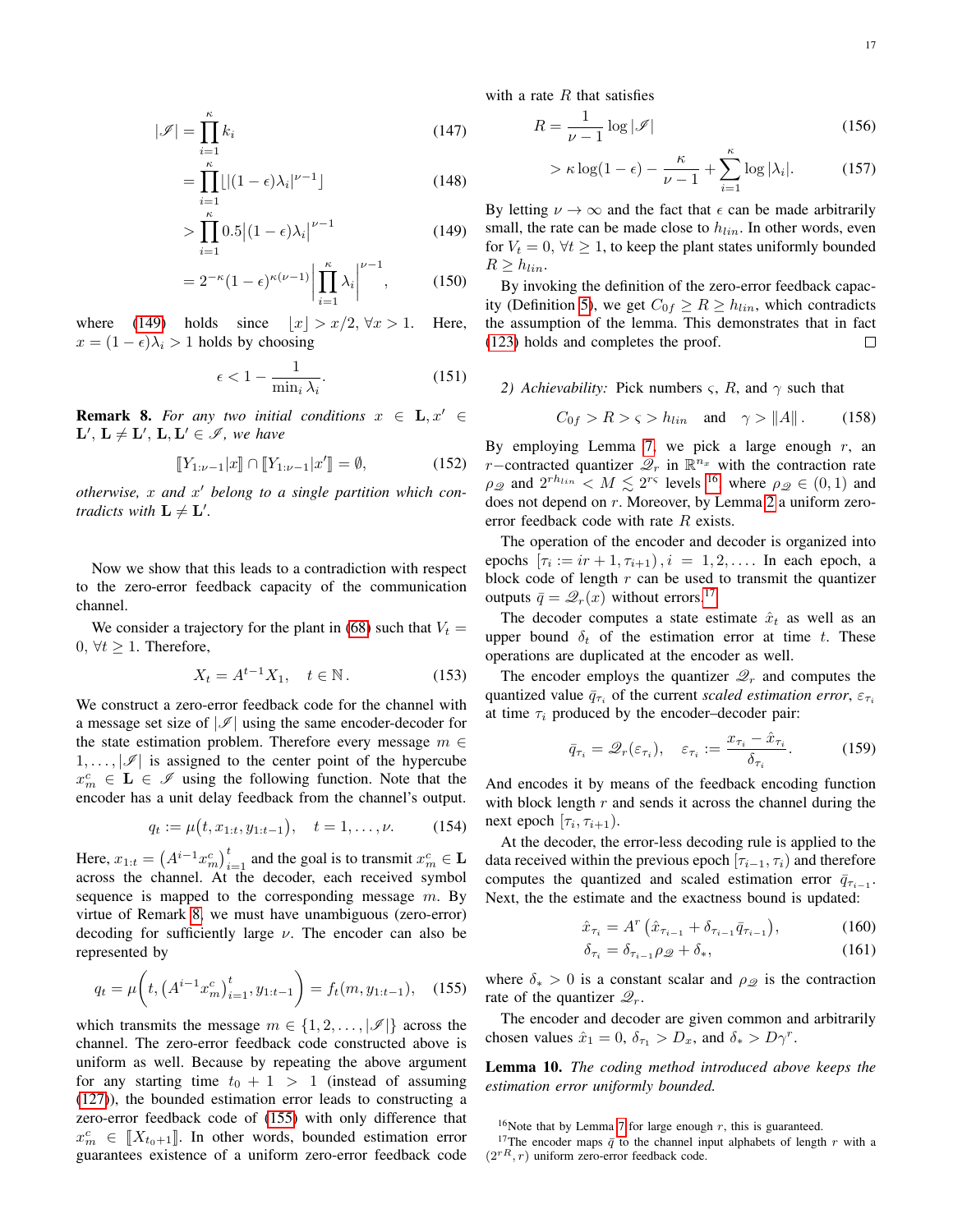$(156)$ 

with a rate  $R$  that satisfies

$$
R = \frac{1}{\nu - 1} \log |\mathcal{I}|
$$

$$
> \kappa \log(1 - \epsilon) - \frac{\kappa}{\nu - 1} + \sum_{i=1}^{\kappa} \log |\lambda_i|.
$$
 (157)

<span id="page-16-0"></span>By letting  $\nu \to \infty$  and the fact that  $\epsilon$  can be made arbitrarily small, the rate can be made close to  $h_{lin}$ . In other words, even for  $V_t = 0$ ,  $\forall t \geq 1$ , to keep the plant states uniformly bounded  $R \geq h_{lin}$ .

By invoking the definition of the zero-error feedback capac-ity (Definition [5\)](#page-3-8), we get  $C_{0f} \ge R \ge h_{lin}$ , which contradicts the assumption of the lemma. This demonstrates that in fact [\(123\)](#page-14-3) holds and completes the proof.  $\Box$ 

# *2) Achievability:* Pick numbers  $\varsigma$ , R, and  $\gamma$  such that

$$
C_{0f} > R > \varsigma > h_{lin} \quad \text{and} \quad \gamma > \|A\| \,. \tag{158}
$$

By employing Lemma [7,](#page-10-2) we pick a large enough  $r$ , an r-contracted quantizer  $\mathscr{Q}_r$  in  $\mathbb{R}^{n_x}$  with the contraction rate  $\rho_{\mathscr{Q}}$  and  $2^{rh_{lin}} < M \lesssim 2^{r\varsigma}$  levels <sup>[16](#page-16-3)</sup>, where  $\rho_{\mathscr{Q}} \in (0,1)$  and does not depend on r. Moreover, by Lemma [2](#page-3-9) a uniform zeroerror feedback code with rate R exists.

The operation of the encoder and decoder is organized into epochs  $[\tau_i := ir + 1, \tau_{i+1}), i = 1, 2, \ldots$  In each epoch, a block code of length  $r$  can be used to transmit the quantizer outputs  $\bar{q} = \mathcal{Q}_r(x)$  without errors.<sup>[17](#page-16-4)</sup>

The decoder computes a state estimate  $\hat{x}_t$  as well as an upper bound  $\delta_t$  of the estimation error at time t. These operations are duplicated at the encoder as well.

The encoder employs the quantizer  $\mathcal{Q}_r$  and computes the quantized value  $\bar{q}_{\tau_i}$  of the current *scaled estimation error*,  $\varepsilon_{\tau_i}$ at time  $\tau_i$  produced by the encoder–decoder pair:

<span id="page-16-6"></span>
$$
\bar{q}_{\tau_i} = \mathcal{Q}_r(\varepsilon_{\tau_i}), \quad \varepsilon_{\tau_i} := \frac{x_{\tau_i} - \hat{x}_{\tau_i}}{\delta_{\tau_i}}.
$$
 (159)

And encodes it by means of the feedback encoding function with block length  $r$  and sends it across the channel during the next epoch  $[\tau_i, \tau_{i+1})$ .

At the decoder, the error-less decoding rule is applied to the data received within the previous epoch  $[\tau_{i-1}, \tau_i]$  and therefore computes the quantized and scaled estimation error  $\bar{q}_{\tau_{i-1}}$ . Next, the the estimate and the exactness bound is updated:

$$
\hat{x}_{\tau_i} = A^r \left( \hat{x}_{\tau_{i-1}} + \delta_{\tau_{i-1}} \bar{q}_{\tau_{i-1}} \right), \tag{160}
$$

<span id="page-16-5"></span>
$$
\delta_{\tau_i} = \delta_{\tau_{i-1}} \rho_{\mathcal{Q}} + \delta_*,\tag{161}
$$

<span id="page-16-2"></span>where  $\delta_* > 0$  is a constant scalar and  $\rho_{\mathcal{Q}}$  is the contraction rate of the quantizer  $\mathcal{Q}_r$ .

The encoder and decoder are given common and arbitrarily chosen values  $\hat{x}_1 = 0$ ,  $\delta_{\tau_1} > D_x$ , and  $\delta_* > D\gamma^r$ .

Lemma 10. *The coding method introduced above keeps the estimation error uniformly bounded.*

<span id="page-16-4"></span><span id="page-16-3"></span><sup>16</sup>Note that by Lemma [7](#page-10-2) for large enough  $r$ , this is guaranteed.

<sup>17</sup>The encoder maps  $\bar{q}$  to the channel input alphabets of length r with a  $(2^{rR}, r)$  uniform zero-error feedback code.

$$
|\mathcal{I}| = \prod_{i=1}^{\kappa} k_i
$$
 (147)

$$
= \prod_{i=1}^{\kappa} \lfloor |(1-\epsilon)\lambda_i|^{\nu-1} \rfloor \tag{148}
$$

$$
>\prod_{i=1}^{\kappa} 0.5|(1-\epsilon)\lambda_i|^{\nu-1} \tag{149}
$$

$$
=2^{-\kappa}(1-\epsilon)^{\kappa(\nu-1)}\left|\prod_{i=1}^{\kappa}\lambda_i\right|^{\nu-1},\qquad(150)
$$

where [\(149\)](#page-16-0) holds since  $|x| > x/2, \forall x > 1$ . Here,  $x = (1 - \epsilon)\lambda_i > 1$  holds by choosing

$$
\epsilon < 1 - \frac{1}{\min_i \lambda_i}.\tag{151}
$$

<span id="page-16-1"></span>**Remark 8.** For any two initial conditions  $x \in L$ ,  $x' \in$  $\mathbf{L}', \mathbf{L} \neq \mathbf{L}', \mathbf{L}, \mathbf{L}' \in \mathscr{I}$ , we have

$$
[[Y_{1:\nu-1}|x]] \cap [[Y_{1:\nu-1}|x'] = \emptyset,
$$
\n(152)

*otherwise,* x *and* x <sup>0</sup> *belong to a single partition which contradicts with*  $L \neq L'$ .

Now we show that this leads to a contradiction with respect to the zero-error feedback capacity of the communication channel.

We consider a trajectory for the plant in [\(68\)](#page-9-3) such that  $V_t =$  $0, \forall t \geq 1$ . Therefore,

$$
X_t = A^{t-1} X_1, \quad t \in \mathbb{N} \,. \tag{153}
$$

We construct a zero-error feedback code for the channel with a message set size of  $|\mathscr{I}|$  using the same encoder-decoder for the state estimation problem. Therefore every message  $m \in$  $1, \ldots, |\mathscr{I}|$  is assigned to the center point of the hypercube  $x_m^c \in L \in \mathcal{I}$  using the following function. Note that the encoder has a unit delay feedback from the channel's output.

$$
q_t := \mu(t, x_{1:t}, y_{1:t-1}), \quad t = 1, \dots, \nu. \tag{154}
$$

Here,  $x_{1:t} = (A^{i-1}x_m^c)_{i=1}^t$  and the goal is to transmit  $x_m^c \in \mathbf{L}$ across the channel. At the decoder, each received symbol sequence is mapped to the corresponding message  $m$ . By virtue of Remark [8,](#page-16-1) we must have unambiguous (zero-error) decoding for sufficiently large  $\nu$ . The encoder can also be represented by

$$
q_t = \mu\bigg(t, \left(A^{i-1}x_m^c\right)_{i=1}^t, y_{1:t-1}\bigg) = f_t(m, y_{1:t-1}), \quad (155)
$$

which transmits the message  $m \in \{1, 2, \ldots, |\mathscr{I}|\}$  across the channel. The zero-error feedback code constructed above is uniform as well. Because by repeating the above argument for any starting time  $t_0 + 1 > 1$  (instead of assuming [\(127\)](#page-15-6)), the bounded estimation error leads to constructing a zero-error feedback code of [\(155\)](#page-16-2) with only difference that  $x_m^c \in [X_{t_0+1}]$ . In other words, bounded estimation error<br>guarantees existence of a uniform zero error feedback code guarantees existence of a uniform zero-error feedback code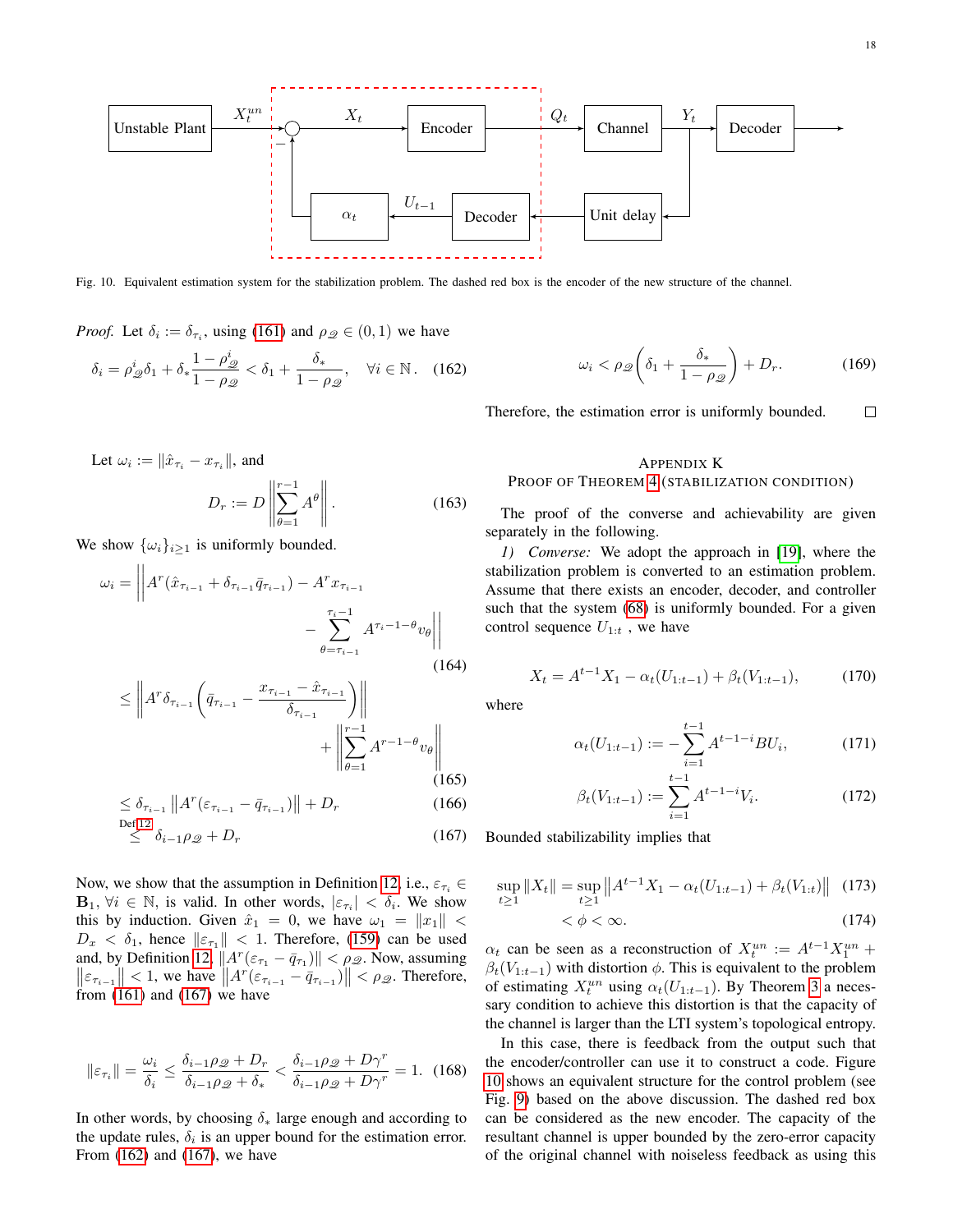

<span id="page-17-3"></span>Fig. 10. Equivalent estimation system for the stabilization problem. The dashed red box is the encoder of the new structure of the channel.

*Proof.* Let  $\delta_i := \delta_{\tau_i}$ , using [\(161\)](#page-16-5) and  $\rho_{\mathcal{Q}} \in (0, 1)$  we have

$$
\delta_i = \rho^i_{\mathscr{Q}} \delta_1 + \delta_* \frac{1 - \rho^i_{\mathscr{Q}}}{1 - \rho_{\mathscr{Q}}} < \delta_1 + \frac{\delta_*}{1 - \rho_{\mathscr{Q}}}, \quad \forall i \in \mathbb{N}. \quad (162)
$$

Let  $\omega_i := \|\hat{x}_{\tau_i} - x_{\tau_i}\|$ , and

$$
D_r := D \left\| \sum_{\theta=1}^{r-1} A^{\theta} \right\|.
$$
 (163)

We show  $\{\omega_i\}_{i\geq 1}$  is uniformly bounded.

$$
\omega_{i} = \left| \left| A^{r} (\hat{x}_{\tau_{i-1}} + \delta_{\tau_{i-1}} \bar{q}_{\tau_{i-1}}) - A^{r} x_{\tau_{i-1}} - \sum_{\theta = \tau_{i-1}}^{\tau_{i}-1} A^{\tau_{i}-1-\theta} v_{\theta} \right| \right|
$$
\n(164)

$$
\leq \left\| A^r \delta_{\tau_{i-1}} \left( \bar{q}_{\tau_{i-1}} - \frac{x_{\tau_{i-1}} - \hat{x}_{\tau_{i-1}}}{\delta_{\tau_{i-1}}} \right) \right\| + \left\| \sum_{\theta=1}^{r-1} A^{r-1-\theta} v_{\theta} \right\|_{(165)}
$$

$$
\leq \delta_{\tau_{i-1}} \|A^r(\varepsilon_{\tau_{i-1}} - \bar{q}_{\tau_{i-1}})\| + D_r \tag{166}
$$

$$
\stackrel{\text{Def.12}}{\leq} \delta_{i-1}\rho_{\mathscr{Q}} + D_r \tag{167}
$$

Now, we show that the assumption in Definition [12,](#page-10-4) i.e.,  $\varepsilon_{\tau_i} \in$  $B_1, \forall i \in \mathbb{N}$ , is valid. In other words,  $|\varepsilon_{\tau_i}| < \delta_i$ . We show this by induction. Given  $\hat{x}_1 = 0$ , we have  $\omega_1 = ||x_1||$  <  $D_x < \delta_1$ , hence  $||\varepsilon_{\tau_1}|| < 1$ . Therefore, [\(159\)](#page-16-6) can be used and, by Definition [12,](#page-10-4)  $||A^r(\varepsilon_{\tau_1} - \bar{q}_{\tau_1})|| < \rho_{\mathcal{Q}}$ . Now, assuming  $\left\| \varepsilon_{\tau_{i-1}} \right\| < 1$ , we have  $\left\| A^r(\varepsilon_{\tau_{i-1}} - \bar{q}_{\tau_{i-1}}) \right\| < \rho_{\mathscr{Q}}$ . Therefore, from  $(161)$  and  $(167)$  we have

$$
\|\varepsilon_{\tau_i}\| = \frac{\omega_i}{\delta_i} \le \frac{\delta_{i-1}\rho_{\mathscr{Q}} + D_r}{\delta_{i-1}\rho_{\mathscr{Q}} + \delta_*} < \frac{\delta_{i-1}\rho_{\mathscr{Q}} + D\gamma^r}{\delta_{i-1}\rho_{\mathscr{Q}} + D\gamma^r} = 1. \tag{168}
$$

In other words, by choosing  $\delta_*$  large enough and according to the update rules,  $\delta_i$  is an upper bound for the estimation error. From [\(162\)](#page-17-2) and [\(167\)](#page-17-1), we have

<span id="page-17-0"></span>
$$
\omega_i < \rho_{\mathscr{Q}} \left( \delta_1 + \frac{\delta_*}{1 - \rho_{\mathscr{Q}}} \right) + D_r. \tag{169}
$$

<span id="page-17-2"></span> $\Box$ Therefore, the estimation error is uniformly bounded.

# APPENDIX K PROOF OF THEOREM [4](#page-10-0) (STABILIZATION CONDITION)

<span id="page-17-4"></span>The proof of the converse and achievability are given separately in the following.

*1) Converse:* We adopt the approach in [\[19\]](#page-20-16), where the stabilization problem is converted to an estimation problem. Assume that there exists an encoder, decoder, and controller such that the system [\(68\)](#page-9-3) is uniformly bounded. For a given control sequence  $U_{1:t}$ , we have

$$
X_t = A^{t-1} X_1 - \alpha_t (U_{1:t-1}) + \beta_t (V_{1:t-1}), \tag{170}
$$

where

$$
\alpha_t(U_{1:t-1}) := -\sum_{i=1}^{t-1} A^{t-1-i} B U_i, \tag{171}
$$

$$
\beta_t(V_{1:t-1}) := \sum_{i=1}^{t-1} A^{t-1-i} V_i.
$$
\n(172)

<span id="page-17-1"></span>Bounded stabilizability implies that

$$
\sup_{t\geq 1} \|X_t\| = \sup_{t\geq 1} \|A^{t-1}X_1 - \alpha_t(U_{1:t-1}) + \beta_t(V_{1:t})\| \tag{173}
$$

$$
\langle \phi \rangle \langle \infty. \tag{174}
$$

 $\alpha_t$  can be seen as a reconstruction of  $X_t^{un} := A^{t-1}X_1^{un} +$  $\beta_t(V_{1:t-1})$  with distortion  $\phi$ . This is equivalent to the problem of estimating  $X_t^{un}$  using  $\alpha_t(U_{1:t-1})$ . By Theorem [3](#page-10-3) a necessary condition to achieve this distortion is that the capacity of the channel is larger than the LTI system's topological entropy.

In this case, there is feedback from the output such that the encoder/controller can use it to construct a code. Figure [10](#page-17-3) shows an equivalent structure for the control problem (see Fig. [9\)](#page-10-1) based on the above discussion. The dashed red box can be considered as the new encoder. The capacity of the resultant channel is upper bounded by the zero-error capacity of the original channel with noiseless feedback as using this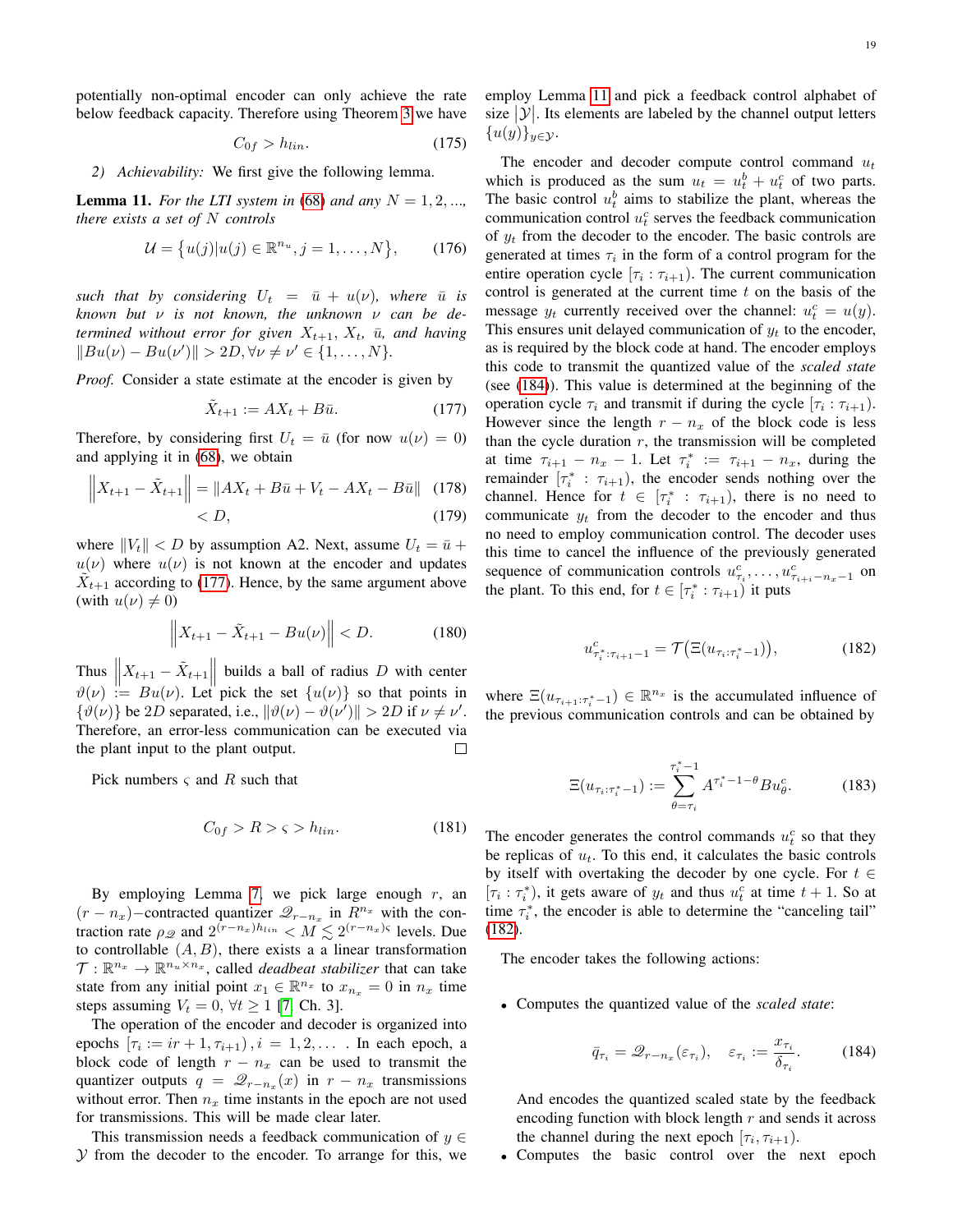potentially non-optimal encoder can only achieve the rate below feedback capacity. Therefore using Theorem [3](#page-10-3) we have

$$
C_{0f} > h_{lin}.\tag{175}
$$

*2) Achievability:* We first give the following lemma.

<span id="page-18-1"></span>**Lemma 11.** For the LTI system in [\(68\)](#page-9-3) and any  $N = 1, 2, \ldots$ *there exists a set of* N *controls*

$$
\mathcal{U} = \{u(j)|u(j) \in \mathbb{R}^{n_u}, j = 1, ..., N\},\qquad(176)
$$

*such that by considering*  $U_t = \bar{u} + u(v)$ *, where*  $\bar{u}$  *is known but* ν *is not known, the unknown* ν *can be determined without error for given*  $X_{t+1}$ ,  $X_t$ ,  $\bar{u}$ , and having  $||Bu(\nu) - Bu(\nu')|| > 2D, \forall \nu \neq \nu' \in \{1, ..., N\}.$ 

*Proof.* Consider a state estimate at the encoder is given by

<span id="page-18-0"></span>
$$
\tilde{X}_{t+1} := AX_t + B\bar{u}.\tag{177}
$$

Therefore, by considering first  $U_t = \bar{u}$  (for now  $u(\nu) = 0$ ) and applying it in [\(68\)](#page-9-3), we obtain

$$
\left\| X_{t+1} - \tilde{X}_{t+1} \right\| = \left\| AX_t + B\bar{u} + V_t - AX_t - B\bar{u} \right\| \tag{178} < D,
$$

where  $||V_t|| < D$  by assumption A2. Next, assume  $U_t = \bar{u} +$  $u(\nu)$  where  $u(\nu)$  is not known at the encoder and updates  $\tilde{X}_{t+1}$  according to [\(177\)](#page-18-0). Hence, by the same argument above (with  $u(\nu) \neq 0$ )

$$
\|X_{t+1} - \tilde{X}_{t+1} - Bu(\nu)\| < D. \tag{180}
$$

Thus  $\left\| X_{t+1} - \tilde{X}_{t+1} \right\|$  builds a ball of radius D with center  $\vartheta(\nu) := Bu(\nu)$ . Let pick the set  $\{u(\nu)\}$  so that points in  $\{\vartheta(\nu)\}\$  be 2D separated, i.e.,  $\|\vartheta(\nu) - \vartheta(\nu')\| > 2D$  if  $\nu \neq \nu'$ . Therefore, an error-less communication can be executed via the plant input to the plant output.  $\Box$ 

Pick numbers  $\varsigma$  and R such that

$$
C_{0f} > R > \varsigma > h_{lin}.\tag{181}
$$

By employing Lemma [7,](#page-10-2) we pick large enough  $r$ , an  $(r - n_x)$ –contracted quantizer  $\mathcal{Q}_{r-n_x}$  in  $R^{n_x}$  with the contraction rate  $\rho_{\mathscr{Q}}$  and  $2^{(r-n_x)h_{lin}} < M \lesssim 2^{(r-n_x)\varsigma}$  levels. Due to controllable  $(A, B)$ , there exists a a linear transformation  $\mathcal{T}: \mathbb{R}^{n_x} \to \mathbb{R}^{n_u \times n_x}$ , called *deadbeat stabilizer* that can take state from any initial point  $x_1 \in \mathbb{R}^{n_x}$  to  $x_{n_x} = 0$  in  $n_x$  time steps assuming  $V_t = 0$ ,  $\forall t \ge 1$  [\[7,](#page-20-15) Ch. 3].

The operation of the encoder and decoder is organized into epochs  $[\tau_i := ir + 1, \tau_{i+1}), i = 1, 2, \dots$  In each epoch, a block code of length  $r - n_x$  can be used to transmit the quantizer outputs  $q = \mathcal{Q}_{r-n_x}(x)$  in  $r - n_x$  transmissions without error. Then  $n_x$  time instants in the epoch are not used for transmissions. This will be made clear later.

This transmission needs a feedback communication of  $y \in$  $Y$  from the decoder to the encoder. To arrange for this, we employ Lemma [11](#page-18-1) and pick a feedback control alphabet of size  $|\mathcal{Y}|$ . Its elements are labeled by the channel output letters  $\{u(y)\}_{y\in\mathcal{Y}}$ .

The encoder and decoder compute control command  $u_t$ which is produced as the sum  $u_t = u_t^b + u_t^c$  of two parts. The basic control  $u_t^b$  aims to stabilize the plant, whereas the communication control  $u_t^c$  serves the feedback communication of  $y_t$  from the decoder to the encoder. The basic controls are generated at times  $\tau_i$  in the form of a control program for the entire operation cycle  $[\tau_i : \tau_{i+1})$ . The current communication control is generated at the current time  $t$  on the basis of the message  $y_t$  currently received over the channel:  $u_t^c = u(y)$ . This ensures unit delayed communication of  $y_t$  to the encoder, as is required by the block code at hand. The encoder employs this code to transmit the quantized value of the *scaled state* (see [\(184\)](#page-18-2)). This value is determined at the beginning of the operation cycle  $\tau_i$  and transmit if during the cycle  $[\tau_i : \tau_{i+1})$ . However since the length  $r - n_x$  of the block code is less than the cycle duration  $r$ , the transmission will be completed at time  $\tau_{i+1} - n_x - 1$ . Let  $\tau_i^* := \tau_{i+1} - n_x$ , during the remainder  $[\tau_i^* : \tau_{i+1})$ , the encoder sends nothing over the channel. Hence for  $t \in [\tau_i^* : \tau_{i+1})$ , there is no need to communicate  $y_t$  from the decoder to the encoder and thus no need to employ communication control. The decoder uses this time to cancel the influence of the previously generated sequence of communication controls  $u_{\tau_i}^c, \ldots, u_{\tau_{i+i}-n_x-1}^c$  on the plant. To this end, for  $t \in [\tau_i^* : \tau_{i+1})$  it puts

<span id="page-18-3"></span>
$$
u_{\tau_i^*:\tau_{i+1}-1}^c = \mathcal{T}(\Xi(u_{\tau_i:\tau_i^*-1})),\tag{182}
$$

where  $\Xi(u_{\tau_{i+1}:\tau_i^*-1}) \in \mathbb{R}^{n_x}$  is the accumulated influence of the previous communication controls and can be obtained by

$$
\Xi(u_{\tau_i:\tau_i^*-1}) := \sum_{\theta=\tau_i}^{\tau_i^*-1} A^{\tau_i^*-1-\theta} B u_\theta^c.
$$
 (183)

The encoder generates the control commands  $u_t^c$  so that they be replicas of  $u_t$ . To this end, it calculates the basic controls by itself with overtaking the decoder by one cycle. For  $t \in$  $[\tau_i : \tau_i^*],$  it gets aware of  $y_t$  and thus  $u_t^c$  at time  $t + 1$ . So at time  $\tau_i^*$ , the encoder is able to determine the "canceling tail" [\(182\)](#page-18-3).

The encoder takes the following actions:

• Computes the quantized value of the *scaled state*:

<span id="page-18-2"></span>
$$
\bar{q}_{\tau_i} = \mathcal{Q}_{r-n_x}(\varepsilon_{\tau_i}), \quad \varepsilon_{\tau_i} := \frac{x_{\tau_i}}{\delta_{\tau_i}}.\tag{184}
$$

And encodes the quantized scaled state by the feedback encoding function with block length  $r$  and sends it across the channel during the next epoch  $[\tau_i, \tau_{i+1})$ .

• Computes the basic control over the next epoch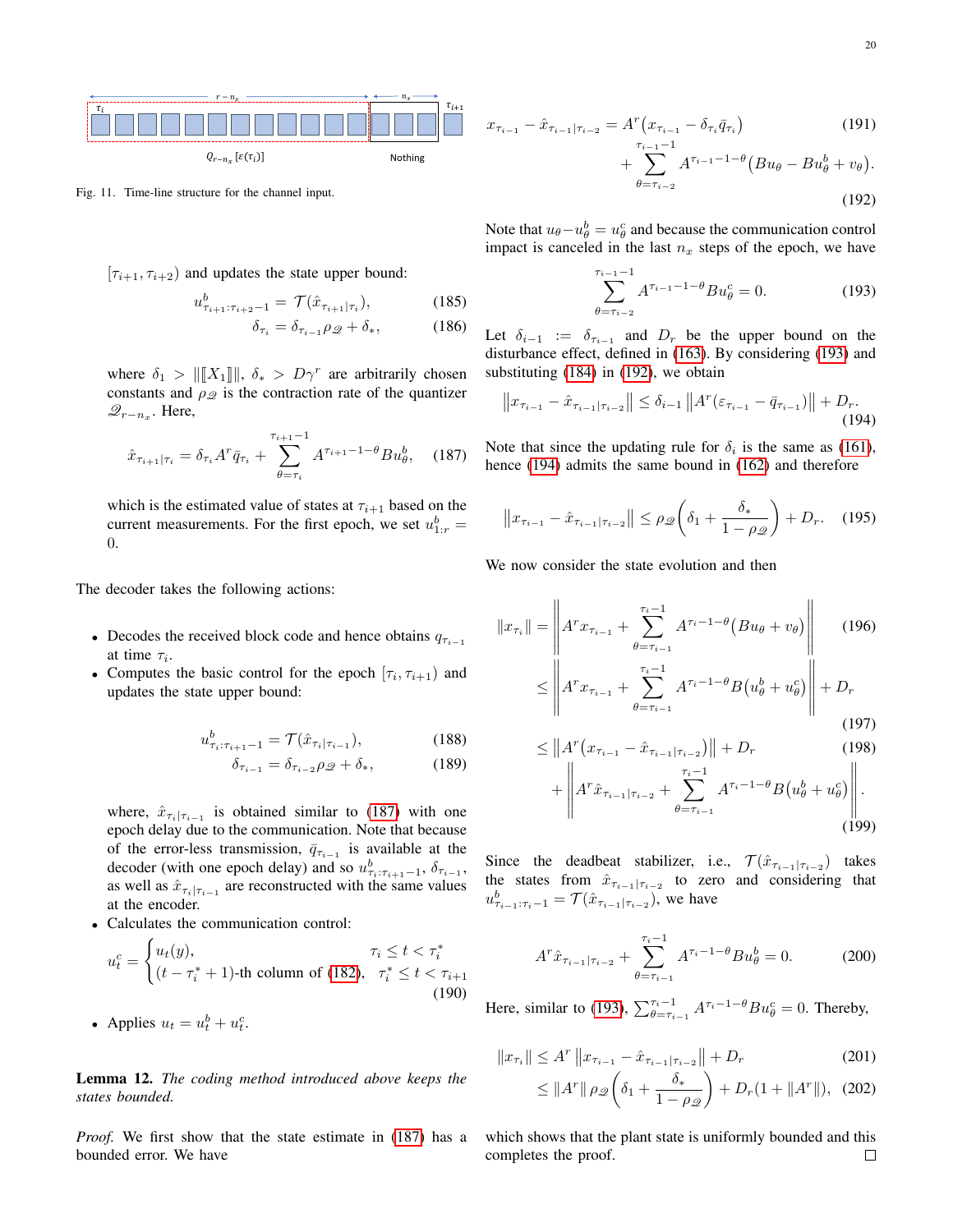

Fig. 11. Time-line structure for the channel input.

$$
[\tau_{i+1}, \tau_{i+2})
$$
 and updates the state upper bound:

$$
u_{\tau_{i+1}:\tau_{i+2}-1}^{b} = \mathcal{T}(\hat{x}_{\tau_{i+1}|\tau_{i}}), \tag{185}
$$

$$
\delta_{\tau_{i}} = \delta_{\tau_{i-1}\rho_{\mathcal{Q}} + \delta_{*}, \tag{186}
$$

where 
$$
\delta_1 > ||[X_1]||
$$
,  $\delta_* > D\gamma^r$  are arbitrarily chosen  
constants and  $\rho_{\mathcal{Q}}$  is the contraction rate of the quantizer  
 $\mathcal{Q}_{r-n_x}$ . Here,

$$
\hat{x}_{\tau_{i+1}|\tau_i} = \delta_{\tau_i} A^r \bar{q}_{\tau_i} + \sum_{\theta=\tau_i}^{\tau_{i+1}-1} A^{\tau_{i+1}-1-\theta} B u_{\theta}^b, \quad (187)
$$

which is the estimated value of states at  $\tau_{i+1}$  based on the current measurements. For the first epoch, we set  $u_{1:r}^b =$ 0.

The decoder takes the following actions:

- Decodes the received block code and hence obtains  $q_{\tau_{i-1}}$ at time  $\tau_i$ .
- Computes the basic control for the epoch  $[\tau_i, \tau_{i+1})$  and updates the state upper bound:

$$
u_{\tau_i:\tau_{i+1}-1}^b = \mathcal{T}(\hat{x}_{\tau_i|\tau_{i-1}}),\tag{188}
$$

$$
\delta_{\tau_{i-1}} = \delta_{\tau_{i-2}} \rho_{\mathcal{Q}} + \delta_*,\tag{189}
$$

where,  $\hat{x}_{\tau_i|\tau_{i-1}}$  is obtained similar to [\(187\)](#page-19-0) with one epoch delay due to the communication. Note that because of the error-less transmission,  $\bar{q}_{\tau_{i-1}}$  is available at the decoder (with one epoch delay) and so  $u^b_{\tau_i:\tau_{i+1}-1}, \delta_{\tau_{i-1}},$ as well as  $\hat{x}_{\tau_i|\tau_{i-1}}$  are reconstructed with the same values at the encoder.

• Calculates the communication control:

$$
u_t^c = \begin{cases} u_t(y), & \tau_i \le t < \tau_i^* \\ (t - \tau_i^* + 1) \text{-th column of (182)}, & \tau_i^* \le t < \tau_{i+1} \\ (190) & \end{cases}
$$

• Applies  $u_t = u_t^b + u_t^c$ .

Lemma 12. *The coding method introduced above keeps the states bounded.*

*Proof.* We first show that the state estimate in [\(187\)](#page-19-0) has a bounded error. We have

$$
x_{\tau_{i-1}} - \hat{x}_{\tau_{i-1}|\tau_{i-2}} = A^r (x_{\tau_{i-1}} - \delta_{\tau_i} \bar{q}_{\tau_i})
$$
(191)  
+ 
$$
\sum_{\theta=\tau_{i-2}}^{\tau_{i-1}-1} A^{\tau_{i-1}-1-\theta} (Bu_{\theta} - Bu_{\theta}^b + v_{\theta}).
$$
(192)

Note that  $u_{\theta} - u_{\theta}^{b} = u_{\theta}^{c}$  and because the communication control impact is canceled in the last  $n_x$  steps of the epoch, we have

<span id="page-19-3"></span><span id="page-19-2"></span><span id="page-19-1"></span>
$$
\sum_{\theta=\tau_{i-2}}^{\tau_{i-1}-1} A^{\tau_{i-1}-1-\theta} B u_{\theta}^c = 0.
$$
 (193)

Let  $\delta_{i-1}$  :=  $\delta_{\tau_{i-1}}$  and  $D_r$  be the upper bound on the disturbance effect, defined in [\(163\)](#page-17-4). By considering [\(193\)](#page-19-1) and substituting [\(184\)](#page-18-2) in [\(192\)](#page-19-2), we obtain

$$
\|x_{\tau_{i-1}} - \hat{x}_{\tau_{i-1}|\tau_{i-2}}\| \le \delta_{i-1} \|A^r(\varepsilon_{\tau_{i-1}} - \bar{q}_{\tau_{i-1}})\| + D_r. \tag{194}
$$

<span id="page-19-0"></span>Note that since the updating rule for  $\delta_i$  is the same as [\(161\)](#page-16-5), hence [\(194\)](#page-19-3) admits the same bound in [\(162\)](#page-17-2) and therefore

$$
\|x_{\tau_{i-1}} - \hat{x}_{\tau_{i-1}|\tau_{i-2}}\| \le \rho_{\mathscr{Q}}\bigg(\delta_1 + \frac{\delta_*}{1 - \rho_{\mathscr{Q}}}\bigg) + D_r. \quad (195)
$$

We now consider the state evolution and then

$$
||x_{\tau_i}|| = \left\| A^r x_{\tau_{i-1}} + \sum_{\theta=\tau_{i-1}}^{\tau_i-1} A^{\tau_i-1-\theta} (Bu_{\theta} + v_{\theta}) \right\| \tag{196}
$$
  

$$
\leq \left\| A^r x_{\tau_{i-1}} + \sum_{\theta=\tau_{i-1}}^{\tau_i-1} A^{\tau_i-1-\theta} B (u_{\theta}^b + u_{\theta}^c) \right\| + D_r
$$
  

$$
\leq ||A^r (x - \hat{x} + v_{\theta})|| + D \tag{197}
$$

$$
\leq \|A^r (x_{\tau_{i-1}} - \hat{x}_{\tau_{i-1}|\tau_{i-2}})\| + D_r
$$
\n<sup>(198)</sup>\n
$$
\| \tau_{i-1}
$$

$$
+ \left\| A^r \hat{x}_{\tau_{i-1}|\tau_{i-2}} + \sum_{\theta=\tau_{i-1}}^{\tau_i-1} A^{\tau_i-1-\theta} B(u_\theta^b + u_\theta^c) \right\| \tag{199}
$$

Since the deadbeat stabilizer, i.e.,  $\mathcal{T}(\hat{x}_{\tau_{i-1}|\tau_{i-2}})$  takes the states from  $\hat{x}_{\tau_{i-1}|\tau_{i-2}}$  to zero and considering that  $u_{\tau_{i-1}:\tau_{i}-1}^b = \mathcal{T}(\hat{x}_{\tau_{i-1}|\tau_{i}-2})$ , we have

$$
A^r \hat{x}_{\tau_{i-1}|\tau_{i-2}} + \sum_{\theta=\tau_{i-1}}^{\tau_i-1} A^{\tau_i-1-\theta} B u_{\theta}^b = 0.
$$
 (200)

Here, similar to [\(193\)](#page-19-1),  $\sum_{\theta=\tau_{i-1}}^{\tau_i-1} A^{\tau_i-1-\theta}Bu_{\theta}^c = 0$ . Thereby,

$$
||x_{\tau_i}|| \le A^r ||x_{\tau_{i-1}} - \hat{x}_{\tau_{i-1}|\tau_{i-2}}|| + D_r
$$
 (201)

$$
\leq \|A^r\| \rho_{\mathscr{Q}}\bigg(\delta_1 + \frac{\delta_*}{1 - \rho_{\mathscr{Q}}}\bigg) + D_r(1 + \|A^r\|), \tag{202}
$$

which shows that the plant state is uniformly bounded and this completes the proof. $\Box$